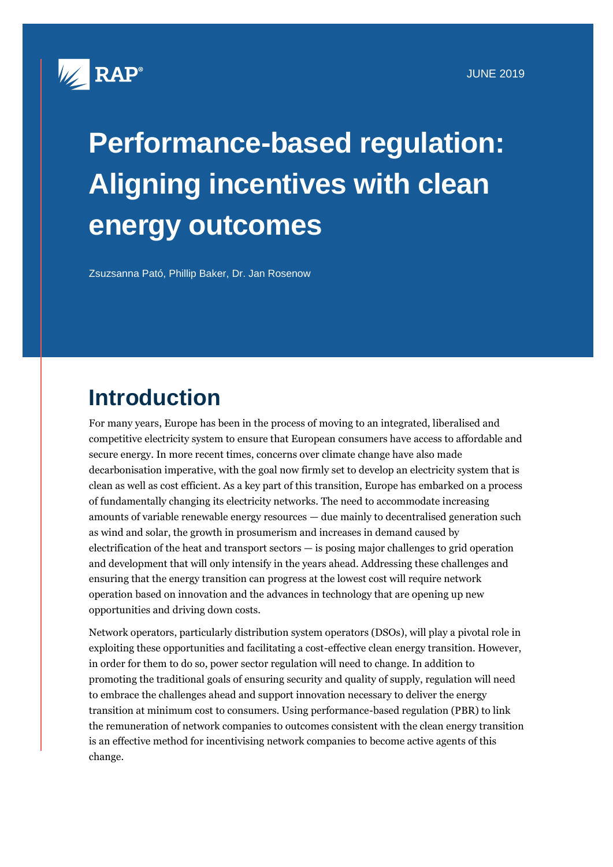

# **Performance-based regulation: Aligning incentives with clean energy outcomes**

Zsuzsanna Pató, Phillip Baker, Dr. Jan Rosenow

## **Introduction**

For many years, Europe has been in the process of moving to an integrated, liberalised and competitive electricity system to ensure that European consumers have access to affordable and secure energy. In more recent times, concerns over climate change have also made decarbonisation imperative, with the goal now firmly set to develop an electricity system that is clean as well as cost efficient. As a key part of this transition, Europe has embarked on a process of fundamentally changing its electricity networks. The need to accommodate increasing amounts of variable renewable energy resources — due mainly to decentralised generation such as wind and solar, the growth in prosumerism and increases in demand caused by electrification of the heat and transport sectors — is posing major challenges to grid operation and development that will only intensify in the years ahead. Addressing these challenges and ensuring that the energy transition can progress at the lowest cost will require network operation based on innovation and the advances in technology that are opening up new opportunities and driving down costs.

Network operators, particularly distribution system operators (DSOs), will play a pivotal role in exploiting these opportunities and facilitating a cost-effective clean energy transition. However, in order for them to do so, power sector regulation will need to change. In addition to promoting the traditional goals of ensuring security and quality of supply, regulation will need to embrace the challenges ahead and support innovation necessary to deliver the energy transition at minimum cost to consumers. Using performance-based regulation (PBR) to link the remuneration of network companies to outcomes consistent with the clean energy transition is an effective method for incentivising network companies to become active agents of this change.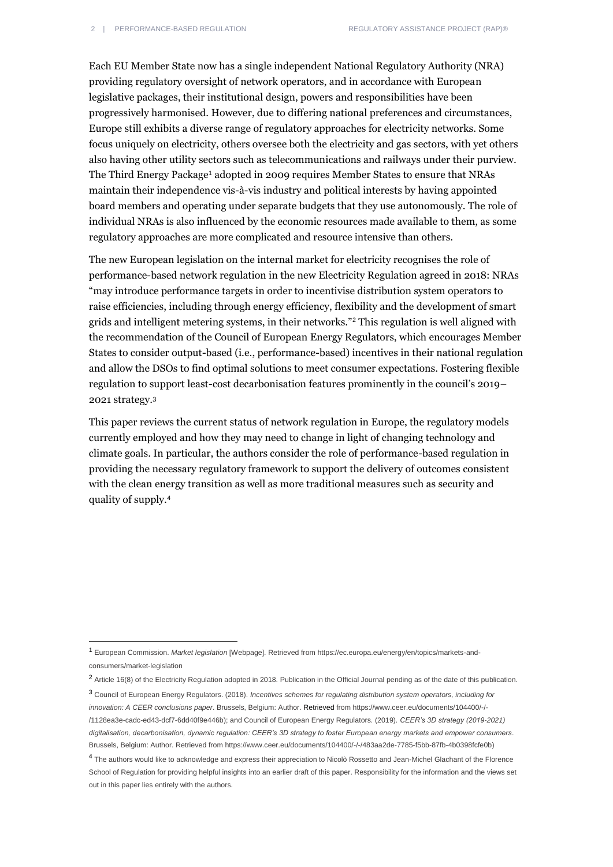Each EU Member State now has a single independent National Regulatory Authority (NRA) providing regulatory oversight of network operators, and in accordance with European legislative packages, their institutional design, powers and responsibilities have been progressively harmonised. However, due to differing national preferences and circumstances, Europe still exhibits a diverse range of regulatory approaches for electricity networks. Some focus uniquely on electricity, others oversee both the electricity and gas sectors, with yet others also having other utility sectors such as telecommunications and railways under their purview. The Third Energy Package<sup>1</sup> adopted in 2009 requires Member States to ensure that NRAs maintain their independence vis-à-vis industry and political interests by having appointed board members and operating under separate budgets that they use autonomously. The role of individual NRAs is also influenced by the economic resources made available to them, as some regulatory approaches are more complicated and resource intensive than others.

The new European legislation on the internal market for electricity recognises the role of performance-based network regulation in the new Electricity Regulation agreed in 2018: NRAs "may introduce performance targets in order to incentivise distribution system operators to raise efficiencies, including through energy efficiency, flexibility and the development of smart grids and intelligent metering systems, in their networks."<sup>2</sup> This regulation is well aligned with the recommendation of the Council of European Energy Regulators, which encourages Member States to consider output-based (i.e., performance-based) incentives in their national regulation and allow the DSOs to find optimal solutions to meet consumer expectations. Fostering flexible regulation to support least-cost decarbonisation features prominently in the council's 2019– 2021 strategy. 3

This paper reviews the current status of network regulation in Europe, the regulatory models currently employed and how they may need to change in light of changing technology and climate goals. In particular, the authors consider the role of performance-based regulation in providing the necessary regulatory framework to support the delivery of outcomes consistent with the clean energy transition as well as more traditional measures such as security and quality of supply.<sup>4</sup>

<sup>1</sup> European Commission. *Market legislation* [Webpage]. Retrieved fro[m https://ec.europa.eu/energy/en/topics/markets-and](https://ec.europa.eu/energy/en/topics/markets-and-consumers/market-legislation)[consumers/market-legislation](https://ec.europa.eu/energy/en/topics/markets-and-consumers/market-legislation) 

<sup>2</sup> Article 16(8) of the Electricity Regulation adopted in 2018. Publication in the Official Journal pending as of the date of this publication.

<sup>3</sup> Council of European Energy Regulators. (2018). *Incentives schemes for regulating distribution system operators, including for innovation: A CEER conclusions paper*. Brussels, Belgium: Author. Retrieved from [https://www.ceer.eu/documents/104400/-/-](https://www.ceer.eu/documents/104400/-/-/1128ea3e-cadc-ed43-dcf7-6dd40f9e446b) [/1128ea3e-cadc-ed43-dcf7-6dd40f9e446b\)](https://www.ceer.eu/documents/104400/-/-/1128ea3e-cadc-ed43-dcf7-6dd40f9e446b); and Council of European Energy Regulators. (2019). *CEER's 3D strategy (2019-2021) digitalisation, decarbonisation, dynamic regulation: CEER's 3D strategy to foster European energy markets and empower consumers*. Brussels, Belgium: Author. Retrieved fro[m https://www.ceer.eu/documents/104400/-/-/483aa2de-7785-f5bb-87fb-4b0398fcfe0b\)](https://www.ceer.eu/documents/104400/-/-/483aa2de-7785-f5bb-87fb-4b0398fcfe0b)

<sup>4</sup> The authors would like to acknowledge and express their appreciation to Nicolò Rossetto and Jean-Michel Glachant of the Florence School of Regulation for providing helpful insights into an earlier draft of this paper. Responsibility for the information and the views set out in this paper lies entirely with the authors.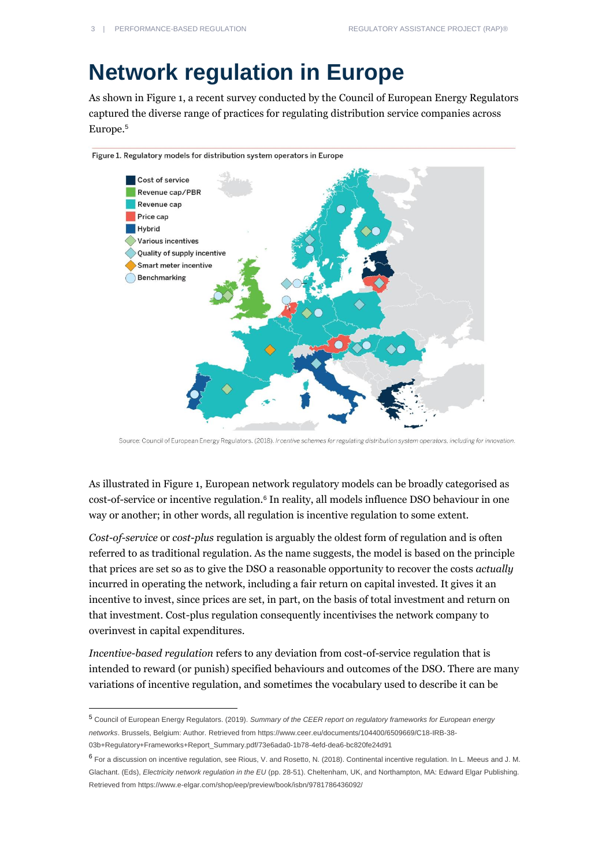## **Network regulation in Europe**

As shown in Figure 1, a recent survey conducted by the Council of European Energy Regulators captured the diverse range of practices for regulating distribution service companies across Europe.<sup>5</sup>



Figure 1. Regulatory models for distribution system operators in Europe

Source: Council of European Energy Regulators. (2018). Incentive schemes for regulating distribution system operators, including for innovation.

As illustrated in Figure 1, European network regulatory models can be broadly categorised as cost-of-service or incentive regulation.<sup>6</sup> In reality, all models influence DSO behaviour in one way or another; in other words, all regulation is incentive regulation to some extent.

*Cost-of-service* or *cost-plus* regulation is arguably the oldest form of regulation and is often referred to as traditional regulation. As the name suggests, the model is based on the principle that prices are set so as to give the DSO a reasonable opportunity to recover the costs *actually* incurred in operating the network, including a fair return on capital invested. It gives it an incentive to invest, since prices are set, in part, on the basis of total investment and return on that investment. Cost-plus regulation consequently incentivises the network company to overinvest in capital expenditures.

*Incentive-based regulation* refers to any deviation from cost-of-service regulation that is intended to reward (or punish) specified behaviours and outcomes of the DSO. There are many variations of incentive regulation, and sometimes the vocabulary used to describe it can be

<sup>5</sup> Council of European Energy Regulators. (2019). *Summary of the CEER report on regulatory frameworks for European energy networks*. Brussels, Belgium: Author. Retrieved fro[m https://www.ceer.eu/documents/104400/6509669/C18-IRB-38-](https://www.ceer.eu/documents/104400/6509669/C18-IRB-38-03b+Regulatory+Frameworks+Report_Summary.pdf/73e6ada0-1b78-4efd-dea6-bc820fe24d91) [03b+Regulatory+Frameworks+Report\\_Summary.pdf/73e6ada0-1b78-4efd-dea6-bc820fe24d91](https://www.ceer.eu/documents/104400/6509669/C18-IRB-38-03b+Regulatory+Frameworks+Report_Summary.pdf/73e6ada0-1b78-4efd-dea6-bc820fe24d91)

<sup>6</sup> For a discussion on incentive regulation, see Rious, V. and Rosetto, N. (2018). Continental incentive regulation. In L. Meeus and J. M. Glachant. (Eds), *Electricity network regulation in the EU* (pp. 28-51). Cheltenham, UK, and Northampton, MA: Edward Elgar Publishing. Retrieved fro[m https://www.e-elgar.com/shop/eep/preview/book/isbn/9781786436092/](https://www.e-elgar.com/shop/eep/preview/book/isbn/9781786436092/)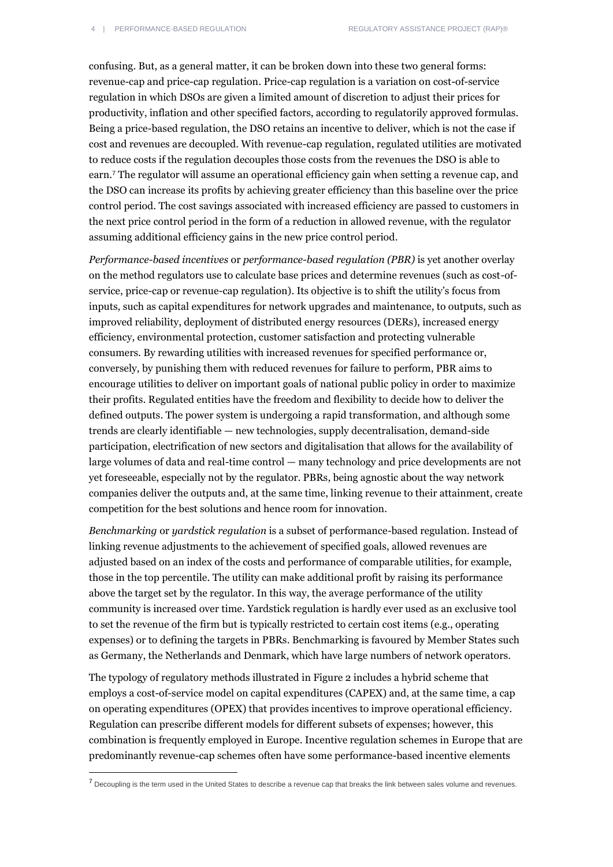confusing. But, as a general matter, it can be broken down into these two general forms: revenue-cap and price-cap regulation. Price-cap regulation is a variation on cost-of-service regulation in which DSOs are given a limited amount of discretion to adjust their prices for productivity, inflation and other specified factors, according to regulatorily approved formulas. Being a price-based regulation, the DSO retains an incentive to deliver, which is not the case if cost and revenues are decoupled. With revenue-cap regulation, regulated utilities are motivated to reduce costs if the regulation decouples those costs from the revenues the DSO is able to earn.<sup>7</sup> The regulator will assume an operational efficiency gain when setting a revenue cap, and the DSO can increase its profits by achieving greater efficiency than this baseline over the price control period. The cost savings associated with increased efficiency are passed to customers in the next price control period in the form of a reduction in allowed revenue, with the regulator assuming additional efficiency gains in the new price control period.

*Performance-based incentives* or *performance-based regulation (PBR)* is yet another overlay on the method regulators use to calculate base prices and determine revenues (such as cost-ofservice, price-cap or revenue-cap regulation). Its objective is to shift the utility's focus from inputs, such as capital expenditures for network upgrades and maintenance, to outputs, such as improved reliability, deployment of distributed energy resources (DERs), increased energy efficiency, environmental protection, customer satisfaction and protecting vulnerable consumers. By rewarding utilities with increased revenues for specified performance or, conversely, by punishing them with reduced revenues for failure to perform, PBR aims to encourage utilities to deliver on important goals of national public policy in order to maximize their profits. Regulated entities have the freedom and flexibility to decide how to deliver the defined outputs. The power system is undergoing a rapid transformation, and although some trends are clearly identifiable — new technologies, supply decentralisation, demand-side participation, electrification of new sectors and digitalisation that allows for the availability of large volumes of data and real-time control — many technology and price developments are not yet foreseeable, especially not by the regulator. PBRs, being agnostic about the way network companies deliver the outputs and, at the same time, linking revenue to their attainment, create competition for the best solutions and hence room for innovation.

*Benchmarking* or *yardstick regulation* is a subset of performance-based regulation. Instead of linking revenue adjustments to the achievement of specified goals, allowed revenues are adjusted based on an index of the costs and performance of comparable utilities, for example, those in the top percentile. The utility can make additional profit by raising its performance above the target set by the regulator. In this way, the average performance of the utility community is increased over time. Yardstick regulation is hardly ever used as an exclusive tool to set the revenue of the firm but is typically restricted to certain cost items (e.g., operating expenses) or to defining the targets in PBRs. Benchmarking is favoured by Member States such as Germany, the Netherlands and Denmark, which have large numbers of network operators.

The typology of regulatory methods illustrated in Figure 2 includes a hybrid scheme that employs a cost-of-service model on capital expenditures (CAPEX) and, at the same time, a cap on operating expenditures (OPEX) that provides incentives to improve operational efficiency. Regulation can prescribe different models for different subsets of expenses; however, this combination is frequently employed in Europe. Incentive regulation schemes in Europe that are predominantly revenue-cap schemes often have some performance-based incentive elements

<sup>&</sup>lt;sup>7</sup> Decoupling is the term used in the United States to describe a revenue cap that breaks the link between sales volume and revenues.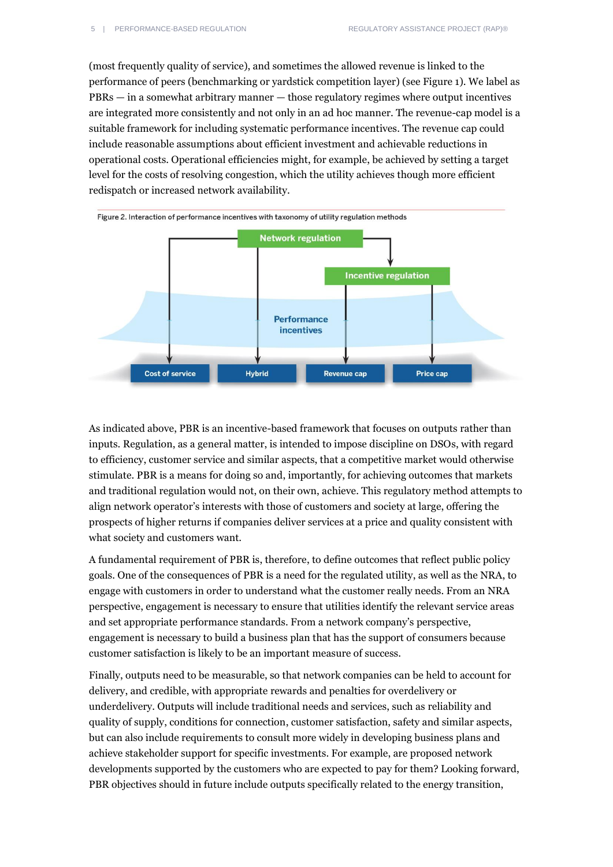(most frequently quality of service), and sometimes the allowed revenue is linked to the performance of peers (benchmarking or yardstick competition layer) (see Figure 1). We label as PBRs — in a somewhat arbitrary manner — those regulatory regimes where output incentives are integrated more consistently and not only in an ad hoc manner. The revenue-cap model is a suitable framework for including systematic performance incentives. The revenue cap could include reasonable assumptions about efficient investment and achievable reductions in operational costs. Operational efficiencies might, for example, be achieved by setting a target level for the costs of resolving congestion, which the utility achieves though more efficient redispatch or increased network availability.



As indicated above, PBR is an incentive-based framework that focuses on outputs rather than inputs. Regulation, as a general matter, is intended to impose discipline on DSOs, with regard to efficiency, customer service and similar aspects, that a competitive market would otherwise stimulate. PBR is a means for doing so and, importantly, for achieving outcomes that markets and traditional regulation would not, on their own, achieve. This regulatory method attempts to align network operator's interests with those of customers and society at large, offering the prospects of higher returns if companies deliver services at a price and quality consistent with what society and customers want.

A fundamental requirement of PBR is, therefore, to define outcomes that reflect public policy goals. One of the consequences of PBR is a need for the regulated utility, as well as the NRA, to engage with customers in order to understand what the customer really needs. From an NRA perspective, engagement is necessary to ensure that utilities identify the relevant service areas and set appropriate performance standards. From a network company's perspective, engagement is necessary to build a business plan that has the support of consumers because customer satisfaction is likely to be an important measure of success.

Finally, outputs need to be measurable, so that network companies can be held to account for delivery, and credible, with appropriate rewards and penalties for overdelivery or underdelivery. Outputs will include traditional needs and services, such as reliability and quality of supply, conditions for connection, customer satisfaction, safety and similar aspects, but can also include requirements to consult more widely in developing business plans and achieve stakeholder support for specific investments. For example, are proposed network developments supported by the customers who are expected to pay for them? Looking forward, PBR objectives should in future include outputs specifically related to the energy transition,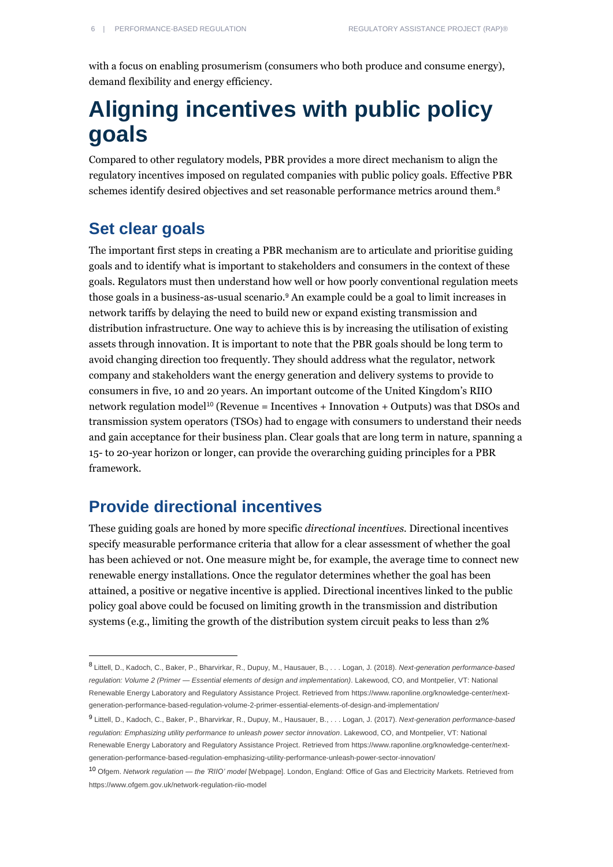with a focus on enabling prosumerism (consumers who both produce and consume energy), demand flexibility and energy efficiency.

## **Aligning incentives with public policy goals**

Compared to other regulatory models, PBR provides a more direct mechanism to align the regulatory incentives imposed on regulated companies with public policy goals. Effective PBR schemes identify desired objectives and set reasonable performance metrics around them.<sup>8</sup>

### **Set clear goals**

 $\overline{a}$ 

The important first steps in creating a PBR mechanism are to articulate and prioritise guiding goals and to identify what is important to stakeholders and consumers in the context of these goals. Regulators must then understand how well or how poorly conventional regulation meets those goals in a business-as-usual scenario.<sup>9</sup> An example could be a goal to limit increases in network tariffs by delaying the need to build new or expand existing transmission and distribution infrastructure. One way to achieve this is by increasing the utilisation of existing assets through innovation. It is important to note that the PBR goals should be long term to avoid changing direction too frequently. They should address what the regulator, network company and stakeholders want the energy generation and delivery systems to provide to consumers in five, 10 and 20 years. An important outcome of the United Kingdom's RIIO network regulation model<sup>10</sup> (Revenue = Incentives + Innovation + Outputs) was that DSOs and transmission system operators (TSOs) had to engage with consumers to understand their needs and gain acceptance for their business plan. Clear goals that are long term in nature, spanning a 15- to 20-year horizon or longer, can provide the overarching guiding principles for a PBR framework.

### **Provide directional incentives**

These guiding goals are honed by more specific *directional incentives.* Directional incentives specify measurable performance criteria that allow for a clear assessment of whether the goal has been achieved or not. One measure might be, for example, the average time to connect new renewable energy installations. Once the regulator determines whether the goal has been attained, a positive or negative incentive is applied. Directional incentives linked to the public policy goal above could be focused on limiting growth in the transmission and distribution systems (e.g., limiting the growth of the distribution system circuit peaks to less than 2%

[generation-performance-based-regulation-emphasizing-utility-performance-unleash-power-sector-innovation/](https://www.raponline.org/knowledge-center/next-generation-performance-based-regulation-emphasizing-utility-performance-unleash-power-sector-innovation/)

<sup>8</sup> Littell, D., Kadoch, C., Baker, P., Bharvirkar, R., Dupuy, M., Hausauer, B., . . . Logan, J. (2018). *Next-generation performance-based regulation: Volume 2 (Primer — Essential elements of design and implementation)*. Lakewood, CO, and Montpelier, VT: National Renewable Energy Laboratory and Regulatory Assistance Project. Retrieved fro[m https://www.raponline.org/knowledge-center/next](https://www.raponline.org/knowledge-center/next-generation-performance-based-regulation-volume-2-primer-essential-elements-of-design-and-implementation/)[generation-performance-based-regulation-volume-2-primer-essential-elements-of-design-and-implementation/](https://www.raponline.org/knowledge-center/next-generation-performance-based-regulation-volume-2-primer-essential-elements-of-design-and-implementation/)

<sup>9</sup> Littell, D., Kadoch, C., Baker, P., Bharvirkar, R., Dupuy, M., Hausauer, B., . . . Logan, J. (2017). *Next-generation performance-based regulation: Emphasizing utility performance to unleash power sector innovation*. Lakewood, CO, and Montpelier, VT: National Renewable Energy Laboratory and Regulatory Assistance Project. Retrieved fro[m https://www.raponline.org/knowledge-center/next-](https://www.raponline.org/knowledge-center/next-generation-performance-based-regulation-emphasizing-utility-performance-unleash-power-sector-innovation/)

<sup>10</sup> Ofgem. *Network regulation — the 'RIIO' model* [Webpage]. London, England: Office of Gas and Electricity Markets. Retrieved from <https://www.ofgem.gov.uk/network-regulation-riio-model>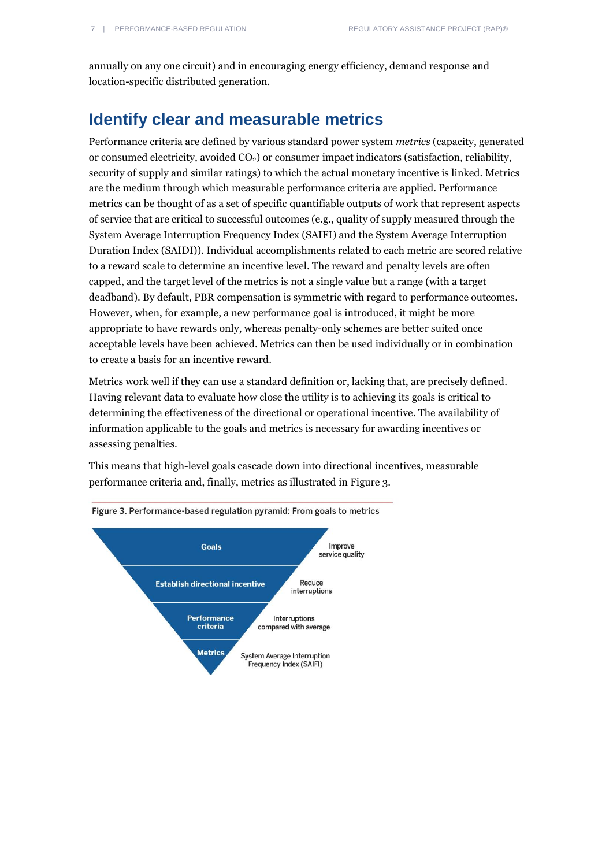annually on any one circuit) and in encouraging energy efficiency, demand response and location-specific distributed generation.

### **Identify clear and measurable metrics**

Performance criteria are defined by various standard power system *metrics* (capacity, generated or consumed electricity, avoided  $CO<sub>2</sub>$ ) or consumer impact indicators (satisfaction, reliability, security of supply and similar ratings) to which the actual monetary incentive is linked. Metrics are the medium through which measurable performance criteria are applied. Performance metrics can be thought of as a set of specific quantifiable outputs of work that represent aspects of service that are critical to successful outcomes (e.g., quality of supply measured through the System Average Interruption Frequency Index (SAIFI) and the System Average Interruption Duration Index (SAIDI)). Individual accomplishments related to each metric are scored relative to a reward scale to determine an incentive level. The reward and penalty levels are often capped, and the target level of the metrics is not a single value but a range (with a target deadband). By default, PBR compensation is symmetric with regard to performance outcomes. However, when, for example, a new performance goal is introduced, it might be more appropriate to have rewards only, whereas penalty-only schemes are better suited once acceptable levels have been achieved. Metrics can then be used individually or in combination to create a basis for an incentive reward.

Metrics work well if they can use a standard definition or, lacking that, are precisely defined. Having relevant data to evaluate how close the utility is to achieving its goals is critical to determining the effectiveness of the directional or operational incentive. The availability of information applicable to the goals and metrics is necessary for awarding incentives or assessing penalties.

This means that high-level goals cascade down into directional incentives, measurable



performance criteria and, finally, metrics as illustrated in Figure 3.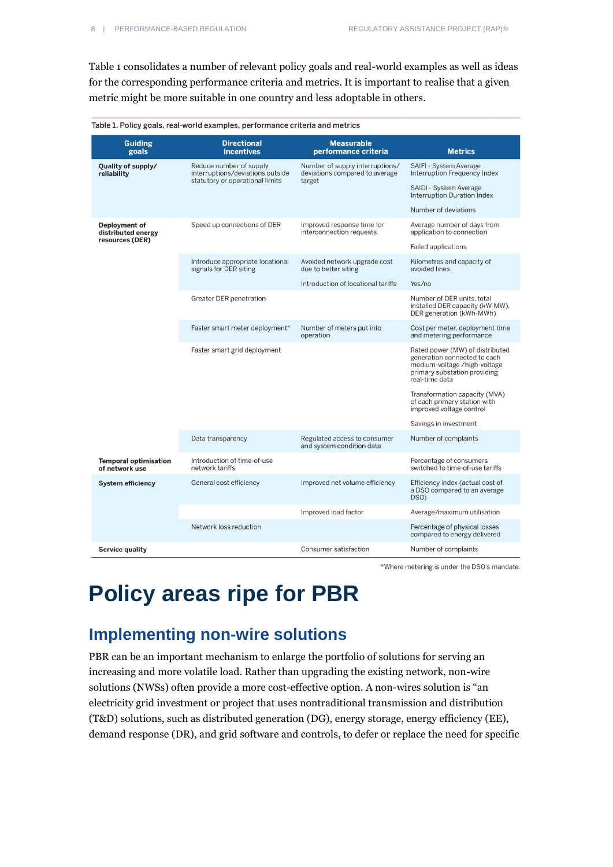Table 1 consolidates a number of relevant policy goals and real-world examples as well as ideas for the corresponding performance criteria and metrics. It is important to realise that a given metric might be more suitable in one country and less adoptable in others.

| Table 1. Policy goals, real-world examples, performance criteria and metrics |                                                                                                |                                                                             |                                                                                                                                                   |
|------------------------------------------------------------------------------|------------------------------------------------------------------------------------------------|-----------------------------------------------------------------------------|---------------------------------------------------------------------------------------------------------------------------------------------------|
| <b>Guiding</b><br>goals                                                      | <b>Directional</b><br><i>incentives</i>                                                        | <b>Measurable</b><br>performance criteria                                   | <b>Metrics</b>                                                                                                                                    |
| Quality of supply/<br>reliability                                            | Reduce number of supply<br>interruptions/deviations outside<br>statutory or operational limits | Number of supply interruptions/<br>deviations compared to average<br>target | SAIFI - System Average<br>Interruption Frequency Index                                                                                            |
|                                                                              |                                                                                                |                                                                             | SAIDI - System Average<br><b>Interruption Duration Index</b>                                                                                      |
|                                                                              |                                                                                                |                                                                             | Number of deviations                                                                                                                              |
| Deployment of<br>distributed energy<br>resources (DER)                       | Speed up connections of DER                                                                    | Improved response time for<br>interconnection requests                      | Average number of days from<br>application to connection                                                                                          |
|                                                                              |                                                                                                |                                                                             | <b>Failed applications</b>                                                                                                                        |
|                                                                              | Introduce appropriate locational<br>signals for DER siting                                     | Avoided network upgrade cost<br>due to better siting                        | Kilometres and capacity of<br>avoided lines                                                                                                       |
|                                                                              |                                                                                                | Introduction of locational tariffs                                          | Yes/no                                                                                                                                            |
|                                                                              | Greater DER penetration                                                                        |                                                                             | Number of DER units, total<br>installed DER capacity (kW-MW),<br>DER generation (kWh-MWh)                                                         |
|                                                                              | Faster smart meter deployment*                                                                 | Number of meters put into<br>operation                                      | Cost per meter, deployment time<br>and metering performance                                                                                       |
|                                                                              | Faster smart grid deployment                                                                   |                                                                             | Rated power (MW) of distributed<br>generation connected to each<br>medium-voltage /high-voltage<br>primary substation providing<br>real-time data |
|                                                                              |                                                                                                |                                                                             | Transformation capacity (MVA)<br>of each primary station with<br>improved voltage control                                                         |
|                                                                              |                                                                                                |                                                                             | Savings in investment                                                                                                                             |
|                                                                              | Data transparency                                                                              | Regulated access to consumer<br>and system condition data                   | Number of complaints                                                                                                                              |
| <b>Temporal optimisation</b><br>of network use                               | Introduction of time-of-use<br>network tariffs                                                 |                                                                             | Percentage of consumers<br>switched to time-of-use tariffs                                                                                        |
| <b>System efficiency</b>                                                     | General cost efficiency                                                                        | Improved net volume efficiency                                              | Efficiency index (actual cost of<br>a DSO compared to an average<br>DSO)                                                                          |
|                                                                              |                                                                                                | Improved load factor                                                        | Average/maximum utilisation                                                                                                                       |
|                                                                              | Network loss reduction                                                                         |                                                                             | Percentage of physical losses<br>compared to energy delivered                                                                                     |
| Service quality                                                              |                                                                                                | Consumer satisfaction                                                       | Number of complaints                                                                                                                              |

\*Where metering is under the DSO's mandate.

## **Policy areas ripe for PBR**

### **Implementing non-wire solutions**

PBR can be an important mechanism to enlarge the portfolio of solutions for serving an increasing and more volatile load. Rather than upgrading the existing network, non-wire solutions (NWSs) often provide a more cost-effective option. A non-wires solution is "an electricity grid investment or project that uses nontraditional transmission and distribution (T&D) solutions, such as distributed generation (DG), energy storage, energy efficiency (EE), demand response (DR), and grid software and controls, to defer or replace the need for specific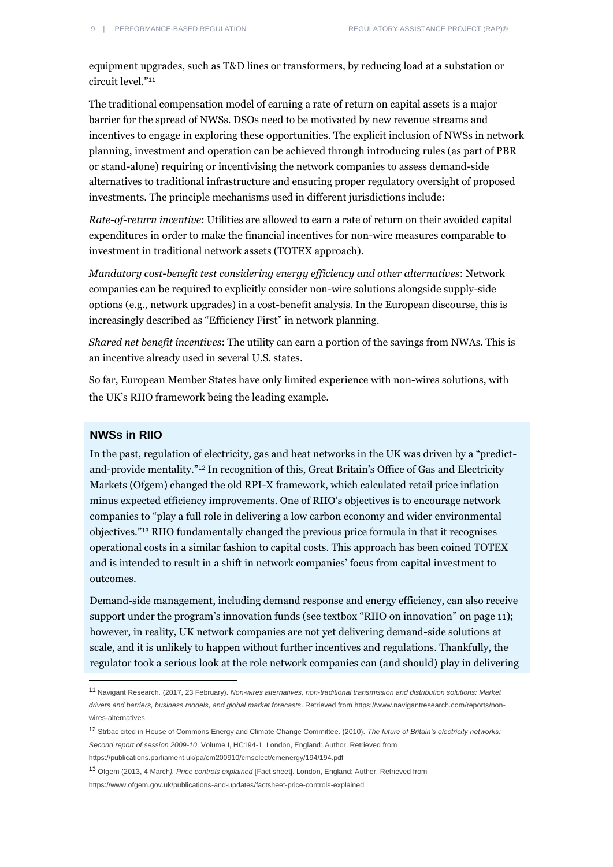equipment upgrades, such as T&D lines or transformers, by reducing load at a substation or circuit level."<sup>11</sup>

The traditional compensation model of earning a rate of return on capital assets is a major barrier for the spread of NWSs. DSOs need to be motivated by new revenue streams and incentives to engage in exploring these opportunities. The explicit inclusion of NWSs in network planning, investment and operation can be achieved through introducing rules (as part of PBR or stand-alone) requiring or incentivising the network companies to assess demand-side alternatives to traditional infrastructure and ensuring proper regulatory oversight of proposed investments. The principle mechanisms used in different jurisdictions include:

*Rate-of-return incentive*: Utilities are allowed to earn a rate of return on their avoided capital expenditures in order to make the financial incentives for non-wire measures comparable to investment in traditional network assets (TOTEX approach).

*Mandatory cost-benefit test considering energy efficiency and other alternatives*: Network companies can be required to explicitly consider non-wire solutions alongside supply-side options (e.g., network upgrades) in a cost-benefit analysis. In the European discourse, this is increasingly described as "Efficiency First" in network planning.

*Shared net benefit incentives*: The utility can earn a portion of the savings from NWAs. This is an incentive already used in several U.S. states.

So far, European Member States have only limited experience with non-wires solutions, with the UK's RIIO framework being the leading example.

#### **NWSs in RIIO**

 $\overline{a}$ 

In the past, regulation of electricity, gas and heat networks in the UK was driven by a "predictand-provide mentality."<sup>12</sup> In recognition of this, Great Britain's Office of Gas and Electricity Markets (Ofgem) changed the old RPI-X framework, which calculated retail price inflation minus expected efficiency improvements. One of RIIO's objectives is to encourage network companies to "play a full role in delivering a low carbon economy and wider environmental objectives."<sup>13</sup> RIIO fundamentally changed the previous price formula in that it recognises operational costs in a similar fashion to capital costs. This approach has been coined TOTEX and is intended to result in a shift in network companies' focus from capital investment to outcomes.

Demand-side management, including demand response and energy efficiency, can also receive support under the program's innovation funds (see textbox "RIIO on innovation" on page 11); however, in reality, UK network companies are not yet delivering demand-side solutions at scale, and it is unlikely to happen without further incentives and regulations. Thankfully, the regulator took a serious look at the role network companies can (and should) play in delivering

<sup>11</sup> Navigant Research. (2017, 23 February). *[Non-wires alternatives, non-traditional transmission and distribution solutions: Market](https://regulatoryassistance.sharepoint.com/europe/pbr/Shared%20Documents/Non-wires%20alternatives,%20non-traditional%20transmission%20and%20distribution%20solutions:%20Market%20drivers%20and%20barriers,%20business%20models,%20and%20global%20market%20forecasts)  [drivers and barriers, business models, and global market forecasts](https://regulatoryassistance.sharepoint.com/europe/pbr/Shared%20Documents/Non-wires%20alternatives,%20non-traditional%20transmission%20and%20distribution%20solutions:%20Market%20drivers%20and%20barriers,%20business%20models,%20and%20global%20market%20forecasts)*. Retrieved fro[m https://www.navigantresearch.com/reports/non](https://www.navigantresearch.com/reports/non-wires-alternatives)[wires-alternatives](https://www.navigantresearch.com/reports/non-wires-alternatives)

<sup>12</sup> Strbac cited in House of Commons Energy and Climate Change Committee. (2010). *The future of Britain's electricity networks: Second report of session 2009-10*. Volume I, HC194-1. London, England: Author. Retrieved from

<https://publications.parliament.uk/pa/cm200910/cmselect/cmenergy/194/194.pdf>

<sup>13</sup> Ofgem (2013, 4 March*). Price controls explained* [Fact sheet]. London, England: Author. Retrieved from <https://www.ofgem.gov.uk/publications-and-updates/factsheet-price-controls-explained>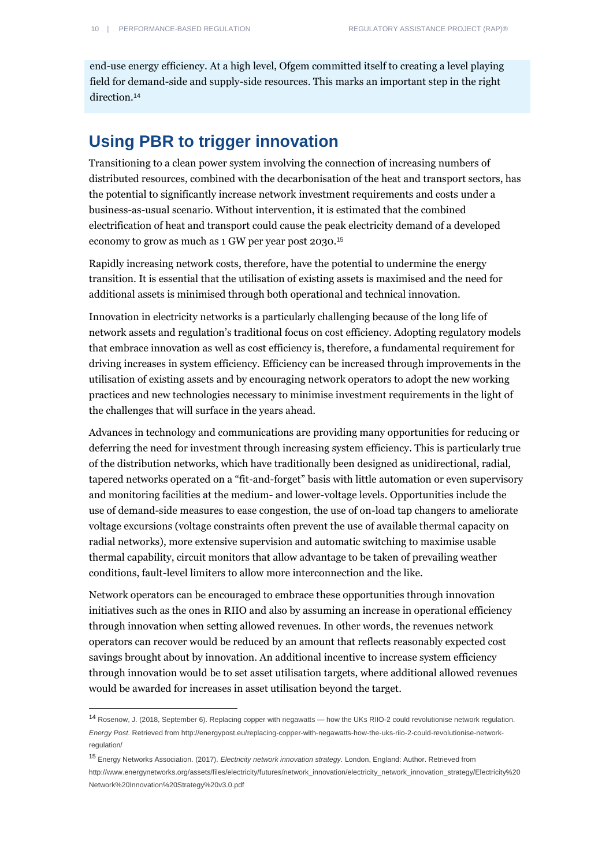$\overline{a}$ 

end-use energy efficiency. At a high level, Ofgem committed itself to creating a level playing field for demand-side and supply-side resources. This marks an important step in the right direction.<sup>14</sup>

### **Using PBR to trigger innovation**

Transitioning to a clean power system involving the connection of increasing numbers of distributed resources, combined with the decarbonisation of the heat and transport sectors, has the potential to significantly increase network investment requirements and costs under a business-as-usual scenario. Without intervention, it is estimated that the combined electrification of heat and transport could cause the peak electricity demand of a developed economy to grow as much as 1 GW per year post 2030.<sup>15</sup>

Rapidly increasing network costs, therefore, have the potential to undermine the energy transition. It is essential that the utilisation of existing assets is maximised and the need for additional assets is minimised through both operational and technical innovation.

Innovation in electricity networks is a particularly challenging because of the long life of network assets and regulation's traditional focus on cost efficiency. Adopting regulatory models that embrace innovation as well as cost efficiency is, therefore, a fundamental requirement for driving increases in system efficiency. Efficiency can be increased through improvements in the utilisation of existing assets and by encouraging network operators to adopt the new working practices and new technologies necessary to minimise investment requirements in the light of the challenges that will surface in the years ahead.

Advances in technology and communications are providing many opportunities for reducing or deferring the need for investment through increasing system efficiency. This is particularly true of the distribution networks, which have traditionally been designed as unidirectional, radial, tapered networks operated on a "fit-and-forget" basis with little automation or even supervisory and monitoring facilities at the medium- and lower-voltage levels. Opportunities include the use of demand-side measures to ease congestion, the use of on-load tap changers to ameliorate voltage excursions (voltage constraints often prevent the use of available thermal capacity on radial networks), more extensive supervision and automatic switching to maximise usable thermal capability, circuit monitors that allow advantage to be taken of prevailing weather conditions, fault-level limiters to allow more interconnection and the like.

Network operators can be encouraged to embrace these opportunities through innovation initiatives such as the ones in RIIO and also by assuming an increase in operational efficiency through innovation when setting allowed revenues. In other words, the revenues network operators can recover would be reduced by an amount that reflects reasonably expected cost savings brought about by innovation. An additional incentive to increase system efficiency through innovation would be to set asset utilisation targets, where additional allowed revenues would be awarded for increases in asset utilisation beyond the target.

<sup>14</sup> Rosenow, J. (2018, September 6). Replacing copper with negawatts — how the UKs RIIO-2 could revolutionise network regulation. *Energy Post*. Retrieved fro[m http://energypost.eu/replacing-copper-with-negawatts-how-the-uks-riio-2-could-revolutionise-network](http://energypost.eu/replacing-copper-with-negawatts-how-the-uks-riio-2-could-revolutionise-network-regulation/)[regulation/](http://energypost.eu/replacing-copper-with-negawatts-how-the-uks-riio-2-could-revolutionise-network-regulation/)

<sup>15</sup> Energy Networks Association. (2017). *Electricity network innovation strategy*. London, England: Author. Retrieved from [http://www.energynetworks.org/assets/files/electricity/futures/network\\_innovation/electricity\\_network\\_innovation\\_strategy/Electricity%20](http://www.energynetworks.org/assets/files/electricity/futures/network_innovation/electricity_network_innovation_strategy/Electricity%20Network%20Innovation%20Strategy%20v3.0.pdf) [Network%20Innovation%20Strategy%20v3.0.pdf](http://www.energynetworks.org/assets/files/electricity/futures/network_innovation/electricity_network_innovation_strategy/Electricity%20Network%20Innovation%20Strategy%20v3.0.pdf)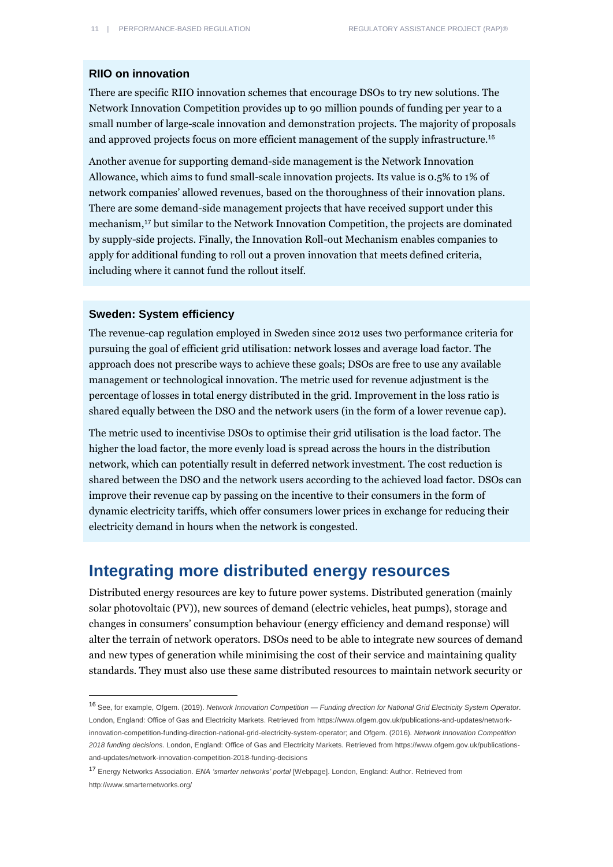#### **RIIO on innovation**

There are specific RIIO innovation schemes that encourage DSOs to try new solutions. The Network Innovation Competition provides up to 90 million pounds of funding per year to a small number of large-scale innovation and demonstration projects. The majority of proposals and approved projects focus on more efficient management of the supply infrastructure.<sup>16</sup>

Another avenue for supporting demand-side management is the Network Innovation Allowance, which aims to fund small-scale innovation projects. Its value is 0.5% to 1% of network companies' allowed revenues, based on the thoroughness of their innovation plans. There are some demand-side management projects that have received support under this mechanism,<sup>17</sup> but similar to the Network Innovation Competition, the projects are dominated by supply-side projects. Finally, the Innovation Roll-out Mechanism enables companies to apply for additional funding to roll out a proven innovation that meets defined criteria, including where it cannot fund the rollout itself.

#### **Sweden: System efficiency**

 $\overline{a}$ 

The revenue-cap regulation employed in Sweden since 2012 uses two performance criteria for pursuing the goal of efficient grid utilisation: network losses and average load factor. The approach does not prescribe ways to achieve these goals; DSOs are free to use any available management or technological innovation. The metric used for revenue adjustment is the percentage of losses in total energy distributed in the grid. Improvement in the loss ratio is shared equally between the DSO and the network users (in the form of a lower revenue cap).

The metric used to incentivise DSOs to optimise their grid utilisation is the load factor. The higher the load factor, the more evenly load is spread across the hours in the distribution network, which can potentially result in deferred network investment. The cost reduction is shared between the DSO and the network users according to the achieved load factor. DSOs can improve their revenue cap by passing on the incentive to their consumers in the form of dynamic electricity tariffs, which offer consumers lower prices in exchange for reducing their electricity demand in hours when the network is congested.

### **Integrating more distributed energy resources**

Distributed energy resources are key to future power systems. Distributed generation (mainly solar photovoltaic (PV)), new sources of demand (electric vehicles, heat pumps), storage and changes in consumers' consumption behaviour (energy efficiency and demand response) will alter the terrain of network operators. DSOs need to be able to integrate new sources of demand and new types of generation while minimising the cost of their service and maintaining quality standards. They must also use these same distributed resources to maintain network security or

<sup>16</sup> See, for example, Ofgem. (2019). *Network Innovation Competition — Funding direction for National Grid Electricity System Operator*. London, England: Office of Gas and Electricity Markets. Retrieved fro[m https://www.ofgem.gov.uk/publications-and-updates/network](https://www.ofgem.gov.uk/publications-and-updates/network-innovation-competition-funding-direction-national-grid-electricity-system-operator)[innovation-competition-funding-direction-national-grid-electricity-system-operator;](https://www.ofgem.gov.uk/publications-and-updates/network-innovation-competition-funding-direction-national-grid-electricity-system-operator) and Ofgem. (2016). *Network Innovation Competition 2018 funding decisions*. London, England: Office of Gas and Electricity Markets. Retrieved fro[m https://www.ofgem.gov.uk/publications](https://www.ofgem.gov.uk/publications-and-updates/network-innovation-competition-2018-funding-decisions)[and-updates/network-innovation-competition-2018-funding-decisions](https://www.ofgem.gov.uk/publications-and-updates/network-innovation-competition-2018-funding-decisions)

<sup>17</sup> Energy Networks Association. *ENA 'smarter networks' portal* [Webpage]. London, England: Author. Retrieved from <http://www.smarternetworks.org/>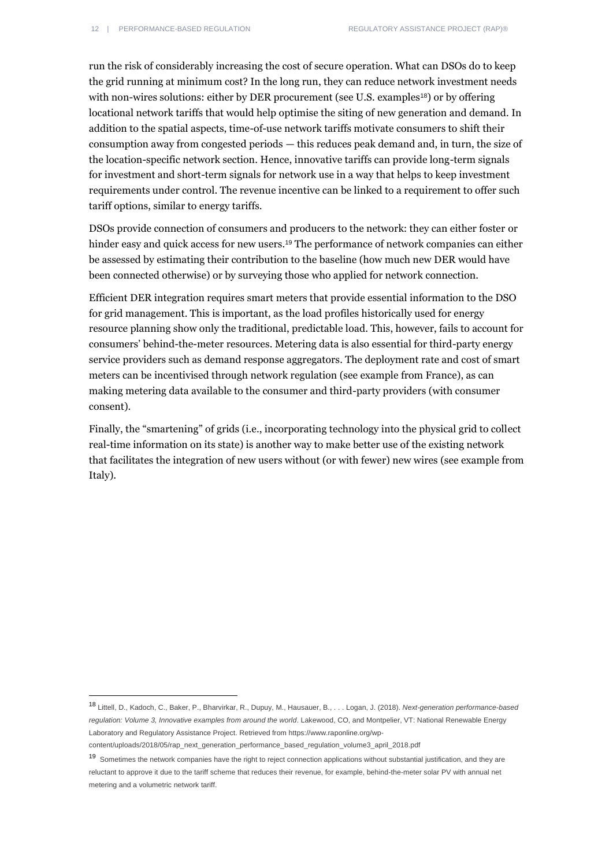run the risk of considerably increasing the cost of secure operation. What can DSOs do to keep the grid running at minimum cost? In the long run, they can reduce network investment needs with non-wires solutions: either by DER procurement (see U.S. examples<sup>18</sup>) or by offering locational network tariffs that would help optimise the siting of new generation and demand. In addition to the spatial aspects, time-of-use network tariffs motivate consumers to shift their consumption away from congested periods — this reduces peak demand and, in turn, the size of the location-specific network section. Hence, innovative tariffs can provide long-term signals for investment and short-term signals for network use in a way that helps to keep investment requirements under control. The revenue incentive can be linked to a requirement to offer such tariff options, similar to energy tariffs.

DSOs provide connection of consumers and producers to the network: they can either foster or hinder easy and quick access for new users.<sup>19</sup> The performance of network companies can either be assessed by estimating their contribution to the baseline (how much new DER would have been connected otherwise) or by surveying those who applied for network connection.

Efficient DER integration requires smart meters that provide essential information to the DSO for grid management. This is important, as the load profiles historically used for energy resource planning show only the traditional, predictable load. This, however, fails to account for consumers' behind-the-meter resources. Metering data is also essential for third-party energy service providers such as demand response aggregators. The deployment rate and cost of smart meters can be incentivised through network regulation (see example from France), as can making metering data available to the consumer and third-party providers (with consumer consent).

Finally, the "smartening" of grids (i.e., incorporating technology into the physical grid to collect real-time information on its state) is another way to make better use of the existing network that facilitates the integration of new users without (or with fewer) new wires (see example from Italy).

<sup>18</sup> Littell, D., Kadoch, C., Baker, P., Bharvirkar, R., Dupuy, M., Hausauer, B., . . . Logan, J. (2018). *Next-generation performance-based regulation: Volume 3, Innovative examples from around the world*. Lakewood, CO, and Montpelier, VT: National Renewable Energy Laboratory and Regulatory Assistance Project. Retrieved fro[m https://www.raponline.org/wp-](https://www.raponline.org/wp-content/uploads/2018/05/rap_next_generation_performance_based_regulation_volume3_april_2018.pdf)

[content/uploads/2018/05/rap\\_next\\_generation\\_performance\\_based\\_regulation\\_volume3\\_april\\_2018.pdf](https://www.raponline.org/wp-content/uploads/2018/05/rap_next_generation_performance_based_regulation_volume3_april_2018.pdf)

<sup>&</sup>lt;sup>19</sup> Sometimes the network companies have the right to reject connection applications without substantial justification, and they are reluctant to approve it due to the tariff scheme that reduces their revenue, for example, behind-the-meter solar PV with annual net metering and a volumetric network tariff.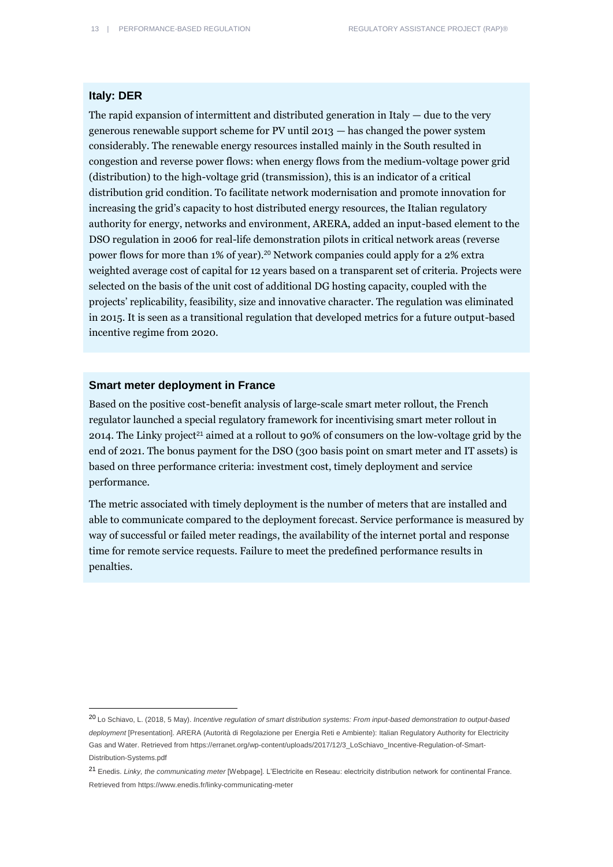#### **Italy: DER**

 $\overline{a}$ 

The rapid expansion of intermittent and distributed generation in Italy  $-$  due to the very generous renewable support scheme for PV until 2013 — has changed the power system considerably. The renewable energy resources installed mainly in the South resulted in congestion and reverse power flows: when energy flows from the medium-voltage power grid (distribution) to the high-voltage grid (transmission), this is an indicator of a critical distribution grid condition. To facilitate network modernisation and promote innovation for increasing the grid's capacity to host distributed energy resources, the Italian regulatory authority for energy, networks and environment, ARERA, added an input-based element to the DSO regulation in 2006 for real-life demonstration pilots in critical network areas (reverse power flows for more than 1% of year).<sup>20</sup> Network companies could apply for a 2% extra weighted average cost of capital for 12 years based on a transparent set of criteria. Projects were selected on the basis of the unit cost of additional DG hosting capacity, coupled with the projects' replicability, feasibility, size and innovative character. The regulation was eliminated in 2015. It is seen as a transitional regulation that developed metrics for a future output-based incentive regime from 2020.

#### **Smart meter deployment in France**

Based on the positive cost-benefit analysis of large-scale smart meter rollout, the French regulator launched a special regulatory framework for incentivising smart meter rollout in 2014. The Linky project<sup>21</sup> aimed at a rollout to 90% of consumers on the low-voltage grid by the end of 2021. The bonus payment for the DSO (300 basis point on smart meter and IT assets) is based on three performance criteria: investment cost, timely deployment and service performance.

The metric associated with timely deployment is the number of meters that are installed and able to communicate compared to the deployment forecast. Service performance is measured by way of successful or failed meter readings, the availability of the internet portal and response time for remote service requests. Failure to meet the predefined performance results in penalties.

<sup>20</sup> Lo Schiavo, L. (2018, 5 May). *Incentive regulation of smart distribution systems: From input-based demonstration to output-based deployment* [Presentation]. ARERA (Autorità di Regolazione per Energia Reti e Ambiente): Italian Regulatory Authority for Electricity Gas and Water. Retrieved fro[m https://erranet.org/wp-content/uploads/2017/12/3\\_LoSchiavo\\_Incentive-Regulation-of-Smart-](https://erranet.org/wp-content/uploads/2017/12/3_LoSchiavo_Incentive-Regulation-of-Smart-Distribution-Systems.pdf)[Distribution-Systems.pdf](https://erranet.org/wp-content/uploads/2017/12/3_LoSchiavo_Incentive-Regulation-of-Smart-Distribution-Systems.pdf)

<sup>21</sup> Enedis. *Linky, the communicating meter* [Webpage]. L'Electricite en Reseau: electricity distribution network for continental France. Retrieved fro[m https://www.enedis.fr/linky-communicating-meter](https://www.enedis.fr/linky-communicating-meter)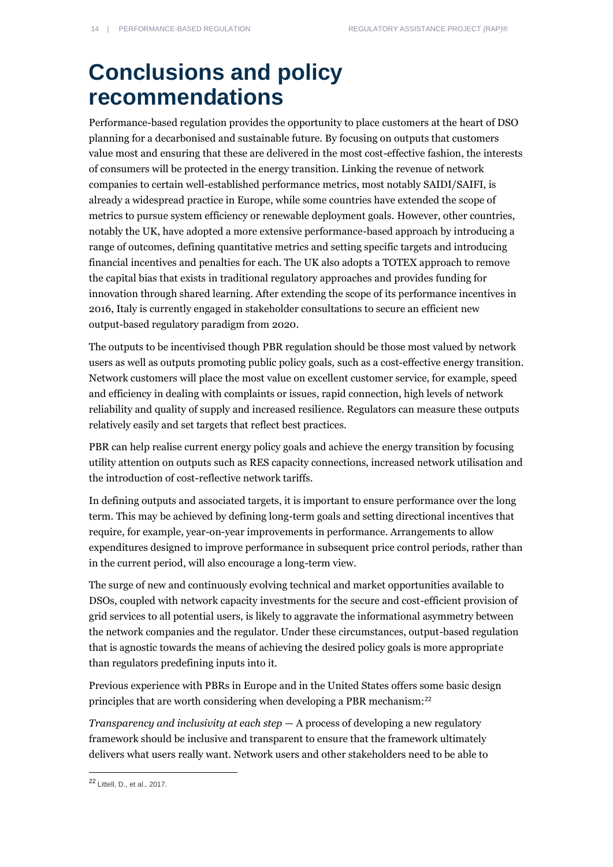## **Conclusions and policy recommendations**

Performance-based regulation provides the opportunity to place customers at the heart of DSO planning for a decarbonised and sustainable future. By focusing on outputs that customers value most and ensuring that these are delivered in the most cost-effective fashion, the interests of consumers will be protected in the energy transition. Linking the revenue of network companies to certain well-established performance metrics, most notably SAIDI/SAIFI, is already a widespread practice in Europe, while some countries have extended the scope of metrics to pursue system efficiency or renewable deployment goals. However, other countries, notably the UK, have adopted a more extensive performance-based approach by introducing a range of outcomes, defining quantitative metrics and setting specific targets and introducing financial incentives and penalties for each. The UK also adopts a TOTEX approach to remove the capital bias that exists in traditional regulatory approaches and provides funding for innovation through shared learning. After extending the scope of its performance incentives in 2016, Italy is currently engaged in stakeholder consultations to secure an efficient new output-based regulatory paradigm from 2020.

The outputs to be incentivised though PBR regulation should be those most valued by network users as well as outputs promoting public policy goals, such as a cost-effective energy transition. Network customers will place the most value on excellent customer service, for example, speed and efficiency in dealing with complaints or issues, rapid connection, high levels of network reliability and quality of supply and increased resilience. Regulators can measure these outputs relatively easily and set targets that reflect best practices.

PBR can help realise current energy policy goals and achieve the energy transition by focusing utility attention on outputs such as RES capacity connections, increased network utilisation and the introduction of cost-reflective network tariffs.

In defining outputs and associated targets, it is important to ensure performance over the long term. This may be achieved by defining long-term goals and setting directional incentives that require, for example, year-on-year improvements in performance. Arrangements to allow expenditures designed to improve performance in subsequent price control periods, rather than in the current period, will also encourage a long-term view.

The surge of new and continuously evolving technical and market opportunities available to DSOs, coupled with network capacity investments for the secure and cost-efficient provision of grid services to all potential users, is likely to aggravate the informational asymmetry between the network companies and the regulator. Under these circumstances, output-based regulation that is agnostic towards the means of achieving the desired policy goals is more appropriate than regulators predefining inputs into it.

Previous experience with PBRs in Europe and in the United States offers some basic design principles that are worth considering when developing a PBR mechanism:<sup>22</sup>

*Transparency and inclusivity at each step* — A process of developing a new regulatory framework should be inclusive and transparent to ensure that the framework ultimately delivers what users really want. Network users and other stakeholders need to be able to

<sup>22</sup> Littell, D., et al., 2017.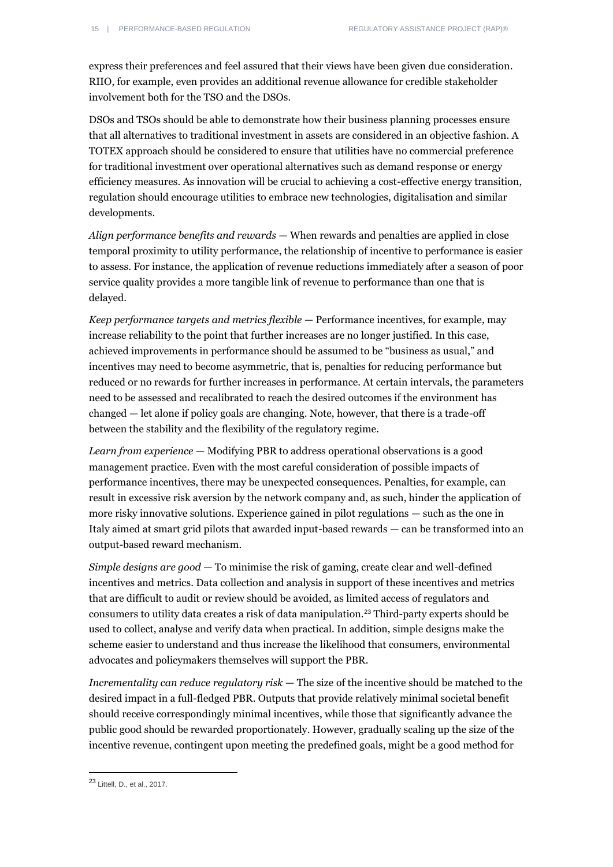express their preferences and feel assured that their views have been given due consideration. RIIO, for example, even provides an additional revenue allowance for credible stakeholder involvement both for the TSO and the DSOs.

DSOs and TSOs should be able to demonstrate how their business planning processes ensure that all alternatives to traditional investment in assets are considered in an objective fashion. A TOTEX approach should be considered to ensure that utilities have no commercial preference for traditional investment over operational alternatives such as demand response or energy efficiency measures. As innovation will be crucial to achieving a cost-effective energy transition, regulation should encourage utilities to embrace new technologies, digitalisation and similar developments.

*Align performance benefits and rewards* — When rewards and penalties are applied in close temporal proximity to utility performance, the relationship of incentive to performance is easier to assess. For instance, the application of revenue reductions immediately after a season of poor service quality provides a more tangible link of revenue to performance than one that is delayed.

*Keep performance targets and metrics flexible* — Performance incentives, for example, may increase reliability to the point that further increases are no longer justified. In this case, achieved improvements in performance should be assumed to be "business as usual," and incentives may need to become asymmetric, that is, penalties for reducing performance but reduced or no rewards for further increases in performance. At certain intervals, the parameters need to be assessed and recalibrated to reach the desired outcomes if the environment has changed — let alone if policy goals are changing. Note, however, that there is a trade-off between the stability and the flexibility of the regulatory regime.

*Learn from experience* — Modifying PBR to address operational observations is a good management practice. Even with the most careful consideration of possible impacts of performance incentives, there may be unexpected consequences. Penalties, for example, can result in excessive risk aversion by the network company and, as such, hinder the application of more risky innovative solutions. Experience gained in pilot regulations — such as the one in Italy aimed at smart grid pilots that awarded input-based rewards — can be transformed into an output-based reward mechanism.

*Simple designs are good* — To minimise the risk of gaming, create clear and well-defined incentives and metrics. Data collection and analysis in support of these incentives and metrics that are difficult to audit or review should be avoided, as limited access of regulators and consumers to utility data creates a risk of data manipulation.<sup>23</sup> Third-party experts should be used to collect, analyse and verify data when practical. In addition, simple designs make the scheme easier to understand and thus increase the likelihood that consumers, environmental advocates and policymakers themselves will support the PBR.

*Incrementality can reduce regulatory risk* — The size of the incentive should be matched to the desired impact in a full-fledged PBR. Outputs that provide relatively minimal societal benefit should receive correspondingly minimal incentives, while those that significantly advance the public good should be rewarded proportionately. However, gradually scaling up the size of the incentive revenue, contingent upon meeting the predefined goals, might be a good method for

<sup>23</sup> Littell, D., et al., 2017.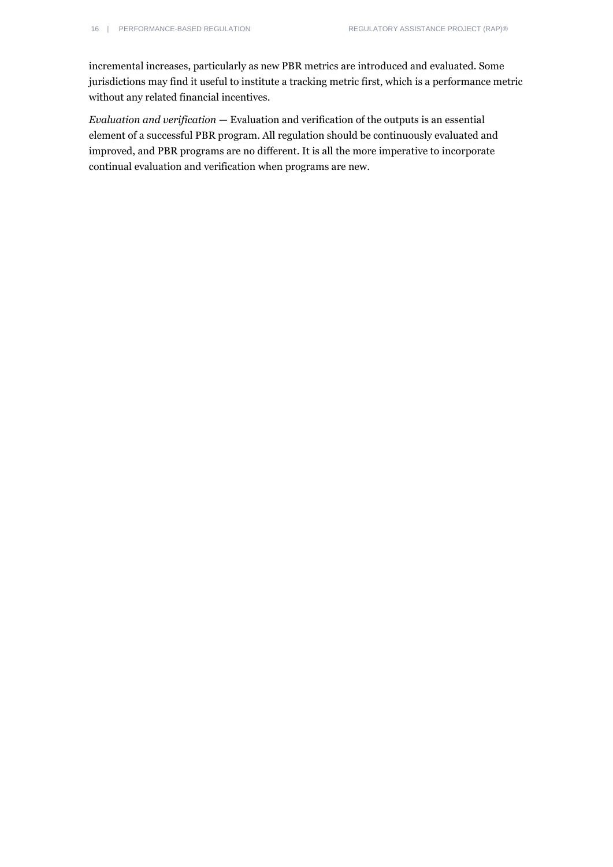incremental increases, particularly as new PBR metrics are introduced and evaluated. Some jurisdictions may find it useful to institute a tracking metric first, which is a performance metric without any related financial incentives.

*Evaluation and verification* — Evaluation and verification of the outputs is an essential element of a successful PBR program. All regulation should be continuously evaluated and improved, and PBR programs are no different. It is all the more imperative to incorporate continual evaluation and verification when programs are new.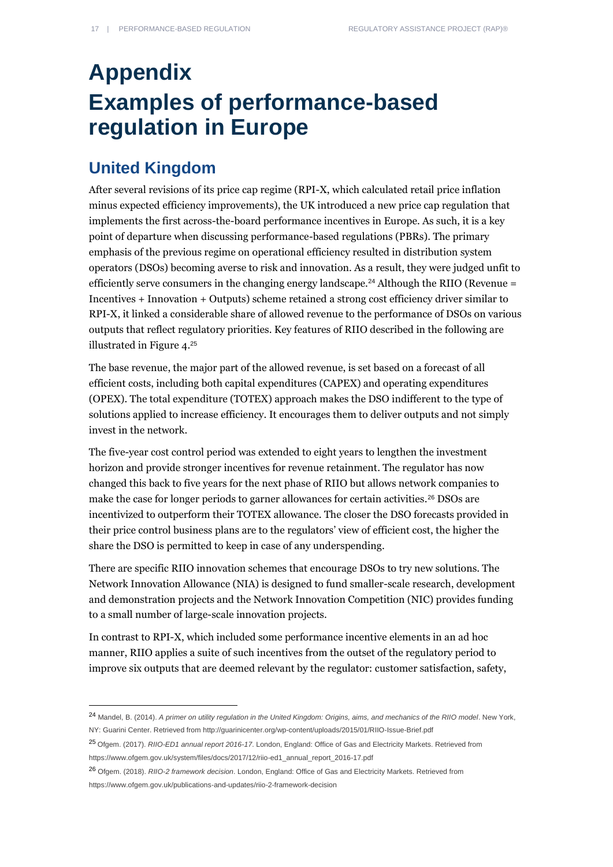## **Appendix Examples of performance-based regulation in Europe**

### **United Kingdom**

 $\overline{a}$ 

After several revisions of its price cap regime (RPI-X, which calculated retail price inflation minus expected efficiency improvements), the UK introduced a new price cap regulation that implements the first across-the-board performance incentives in Europe. As such, it is a key point of departure when discussing performance-based regulations (PBRs). The primary emphasis of the previous regime on operational efficiency resulted in distribution system operators (DSOs) becoming averse to risk and innovation. As a result, they were judged unfit to efficiently serve consumers in the changing energy landscape.<sup>24</sup> Although the RIIO (Revenue = Incentives + Innovation + Outputs) scheme retained a strong cost efficiency driver similar to RPI-X, it linked a considerable share of allowed revenue to the performance of DSOs on various outputs that reflect regulatory priorities. Key features of RIIO described in the following are illustrated in Figure 4.<sup>25</sup>

The base revenue, the major part of the allowed revenue, is set based on a forecast of all efficient costs, including both capital expenditures (CAPEX) and operating expenditures (OPEX). The total expenditure (TOTEX) approach makes the DSO indifferent to the type of solutions applied to increase efficiency. It encourages them to deliver outputs and not simply invest in the network.

The five-year cost control period was extended to eight years to lengthen the investment horizon and provide stronger incentives for revenue retainment. The regulator has now changed this back to five years for the next phase of RIIO but allows network companies to make the case for longer periods to garner allowances for certain activities.<sup>26</sup> DSOs are incentivized to outperform their TOTEX allowance. The closer the DSO forecasts provided in their price control business plans are to the regulators' view of efficient cost, the higher the share the DSO is permitted to keep in case of any underspending.

There are specific RIIO innovation schemes that encourage DSOs to try new solutions. The Network Innovation Allowance (NIA) is designed to fund smaller-scale research, development and demonstration projects and the Network Innovation Competition (NIC) provides funding to a small number of large-scale innovation projects.

In contrast to RPI-X, which included some performance incentive elements in an ad hoc manner, RIIO applies a suite of such incentives from the outset of the regulatory period to improve six outputs that are deemed relevant by the regulator: customer satisfaction, safety,

<sup>24</sup> Mandel, B. (2014). *A primer on utility regulation in the United Kingdom: Origins, aims, and mechanics of the RIIO model*. New York, NY: Guarini Center. Retrieved fro[m http://guarinicenter.org/wp-content/uploads/2015/01/RIIO-Issue-Brief.pdf](http://guarinicenter.org/wp-content/uploads/2015/01/RIIO-Issue-Brief.pdf)

<sup>25</sup> Ofgem. (2017). *RIIO-ED1 annual report 2016-17*. London, England: Office of Gas and Electricity Markets. Retrieved from [https://www.ofgem.gov.uk/system/files/docs/2017/12/riio-ed1\\_annual\\_report\\_2016-17.pdf](https://www.ofgem.gov.uk/system/files/docs/2017/12/riio-ed1_annual_report_2016-17.pdf)

<sup>26</sup> Ofgem. (2018). *RIIO-2 framework decision*. London, England: Office of Gas and Electricity Markets. Retrieved from <https://www.ofgem.gov.uk/publications-and-updates/riio-2-framework-decision>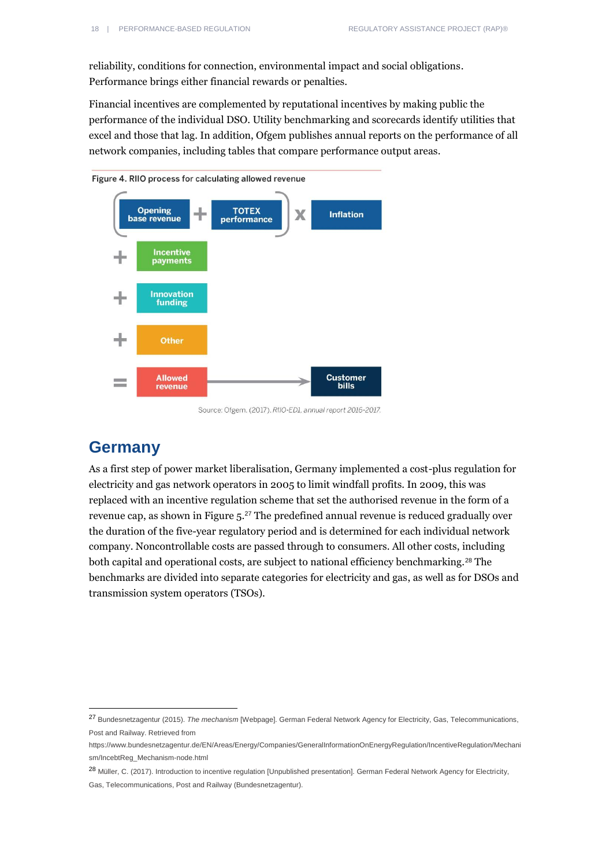reliability, conditions for connection, environmental impact and social obligations. Performance brings either financial rewards or penalties.

Financial incentives are complemented by reputational incentives by making public the performance of the individual DSO. Utility benchmarking and scorecards identify utilities that excel and those that lag. In addition, Ofgem publishes annual reports on the performance of all network companies, including tables that compare performance output areas.



Source: Ofgem. (2017). RIIO-ED1, annual report 2016-2017

### **Germany**

 $\overline{a}$ 

As a first step of power market liberalisation, Germany implemented a cost-plus regulation for electricity and gas network operators in 2005 to limit windfall profits. In 2009, this was replaced with an incentive regulation scheme that set the authorised revenue in the form of a revenue cap, as shown in Figure 5.<sup>27</sup> The predefined annual revenue is reduced gradually over the duration of the five-year regulatory period and is determined for each individual network company. Noncontrollable costs are passed through to consumers. All other costs, including both capital and operational costs, are subject to national efficiency benchmarking.<sup>28</sup> The benchmarks are divided into separate categories for electricity and gas, as well as for DSOs and transmission system operators (TSOs).

<sup>28</sup> Müller, C. (2017). Introduction to incentive regulation [Unpublished presentation]. German Federal Network Agency for Electricity, Gas, Telecommunications, Post and Railway (Bundesnetzagentur).

<sup>27</sup> Bundesnetzagentur (2015). *The mechanism* [Webpage]. German Federal Network Agency for Electricity, Gas, Telecommunications, Post and Railway. Retrieved from

[https://www.bundesnetzagentur.de/EN/Areas/Energy/Companies/GeneralInformationOnEnergyRegulation/IncentiveRegulation/Mechani](https://www.bundesnetzagentur.de/EN/Areas/Energy/Companies/GeneralInformationOnEnergyRegulation/IncentiveRegulation/Mechanism/IncebtReg_Mechanism-node.html) [sm/IncebtReg\\_Mechanism-node.html](https://www.bundesnetzagentur.de/EN/Areas/Energy/Companies/GeneralInformationOnEnergyRegulation/IncentiveRegulation/Mechanism/IncebtReg_Mechanism-node.html)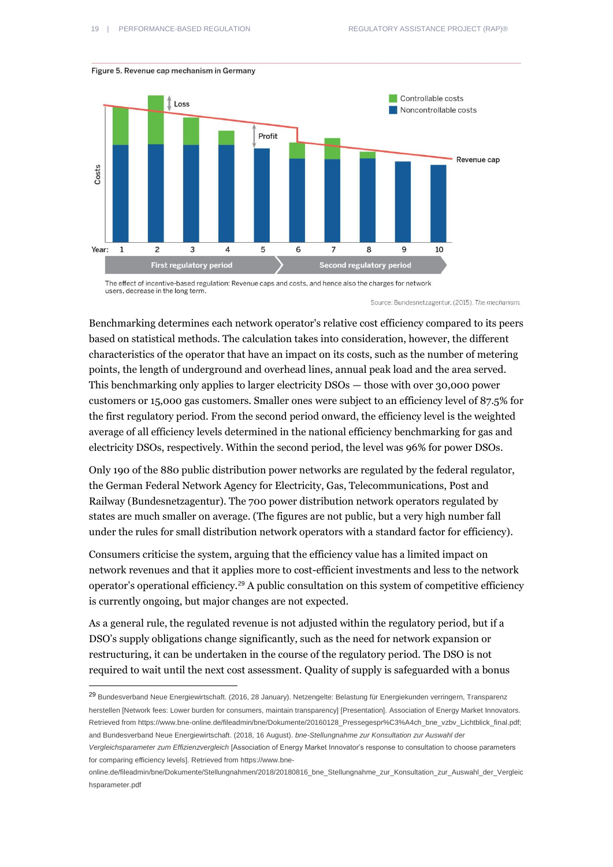

#### Figure 5. Revenue cap mechanism in Germany

 $\overline{a}$ 

The effect of incentive-based regulation: Revenue caps and costs, and hence also the charges for network users, decrease in the long term.

Source: Bundesnetzagentur. (2015). The mechanism.

Benchmarking determines each network operator's relative cost efficiency compared to its peers based on statistical methods. The calculation takes into consideration, however, the different characteristics of the operator that have an impact on its costs, such as the number of metering points, the length of underground and overhead lines, annual peak load and the area served. This benchmarking only applies to larger electricity DSOs — those with over 30,000 power customers or 15,000 gas customers. Smaller ones were subject to an efficiency level of 87.5% for the first regulatory period. From the second period onward, the efficiency level is the weighted average of all efficiency levels determined in the national efficiency benchmarking for gas and electricity DSOs, respectively. Within the second period, the level was 96% for power DSOs.

Only 190 of the 880 public distribution power networks are regulated by the federal regulator, the German Federal Network Agency for Electricity, Gas, Telecommunications, Post and Railway (Bundesnetzagentur). The 700 power distribution network operators regulated by states are much smaller on average. (The figures are not public, but a very high number fall under the rules for small distribution network operators with a standard factor for efficiency).

Consumers criticise the system, arguing that the efficiency value has a limited impact on network revenues and that it applies more to cost-efficient investments and less to the network operator's operational efficiency.<sup>29</sup> A public consultation on this system of competitive efficiency is currently ongoing, but major changes are not expected.

As a general rule, the regulated revenue is not adjusted within the regulatory period, but if a DSO's supply obligations change significantly, such as the need for network expansion or restructuring, it can be undertaken in the course of the regulatory period. The DSO is not required to wait until the next cost assessment. Quality of supply is safeguarded with a bonus

<sup>29</sup> Bundesverband Neue Energiewirtschaft. (2016, 28 January). Netzengelte: Belastung für Energiekunden verringern, Transparenz herstellen [Network fees: Lower burden for consumers, maintain transparency] [Presentation]. Association of Energy Market Innovators. Retrieved fro[m https://www.bne-online.de/fileadmin/bne/Dokumente/20160128\\_Pressegespr%C3%A4ch\\_bne\\_vzbv\\_Lichtblick\\_final.pdf;](https://www.bne-online.de/fileadmin/bne/Dokumente/20160128_Pressegespr%C3%A4ch_bne_vzbv_Lichtblick_final.pdf)  and Bundesverband Neue Energiewirtschaft. (2018, 16 August). *bne-Stellungnahme zur Konsultation zur Auswahl der* 

*Vergleichsparameter zum Effizienzvergleich* [Association of Energy Market Innovator's response to consultation to choose parameters for comparing efficiency levels]. Retrieved from [https://www.bne-](https://www.bne-online.de/fileadmin/bne/Dokumente/Stellungnahmen/2018/20180816_bne_Stellungnahme_zur_Konsultation_zur_Auswahl_der_Vergleichsparameter.pdf)

[online.de/fileadmin/bne/Dokumente/Stellungnahmen/2018/20180816\\_bne\\_Stellungnahme\\_zur\\_Konsultation\\_zur\\_Auswahl\\_der\\_Vergleic](https://www.bne-online.de/fileadmin/bne/Dokumente/Stellungnahmen/2018/20180816_bne_Stellungnahme_zur_Konsultation_zur_Auswahl_der_Vergleichsparameter.pdf) [hsparameter.pdf](https://www.bne-online.de/fileadmin/bne/Dokumente/Stellungnahmen/2018/20180816_bne_Stellungnahme_zur_Konsultation_zur_Auswahl_der_Vergleichsparameter.pdf)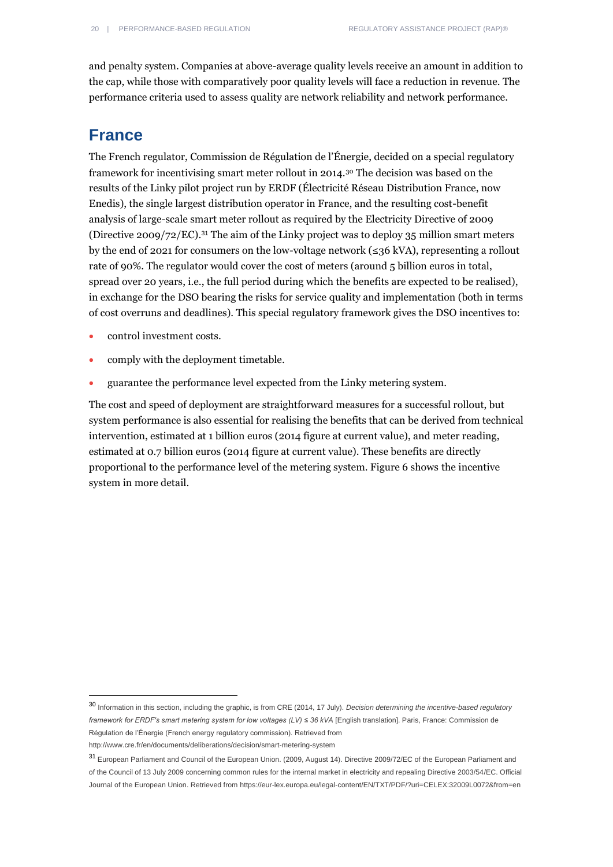and penalty system. Companies at above-average quality levels receive an amount in addition to the cap, while those with comparatively poor quality levels will face a reduction in revenue. The performance criteria used to assess quality are network reliability and network performance.

### **France**

The French regulator, Commission de Régulation de l'Énergie, decided on a special regulatory framework for incentivising smart meter rollout in 2014.<sup>30</sup> The decision was based on the results of the Linky pilot project run by ERDF (Électricité Réseau Distribution France, now Enedis), the single largest distribution operator in France, and the resulting cost-benefit analysis of large-scale smart meter rollout as required by the Electricity Directive of 2009 (Directive 2009/72/EC).<sup>31</sup> The aim of the Linky project was to deploy 35 million smart meters by the end of 2021 for consumers on the low-voltage network (≤36 kVA), representing a rollout rate of 90%. The regulator would cover the cost of meters (around 5 billion euros in total, spread over 20 years, i.e., the full period during which the benefits are expected to be realised), in exchange for the DSO bearing the risks for service quality and implementation (both in terms of cost overruns and deadlines). This special regulatory framework gives the DSO incentives to:

- control investment costs.
- comply with the deployment timetable.
- guarantee the performance level expected from the Linky metering system.

The cost and speed of deployment are straightforward measures for a successful rollout, but system performance is also essential for realising the benefits that can be derived from technical intervention, estimated at 1 billion euros (2014 figure at current value), and meter reading, estimated at 0.7 billion euros (2014 figure at current value). These benefits are directly proportional to the performance level of the metering system. Figure 6 shows the incentive system in more detail.

<sup>30</sup> Information in this section, including the graphic, is from CRE (2014, 17 July). *Decision determining the incentive-based regulatory framework for ERDF's smart metering system for low voltages (LV) ≤ 36 kVA [English translation]. Paris, France: Commission de* Régulation de l'Énergie (French energy regulatory commission). Retrieved from

<http://www.cre.fr/en/documents/deliberations/decision/smart-metering-system>

<sup>31</sup> European Parliament and Council of the European Union. (2009, August 14). Directive 2009/72/EC of the European Parliament and of the Council of 13 July 2009 concerning common rules for the internal market in electricity and repealing Directive 2003/54/EC. Official Journal of the European Union. Retrieved from<https://eur-lex.europa.eu/legal-content/EN/TXT/PDF/?uri=CELEX:32009L0072&from=en>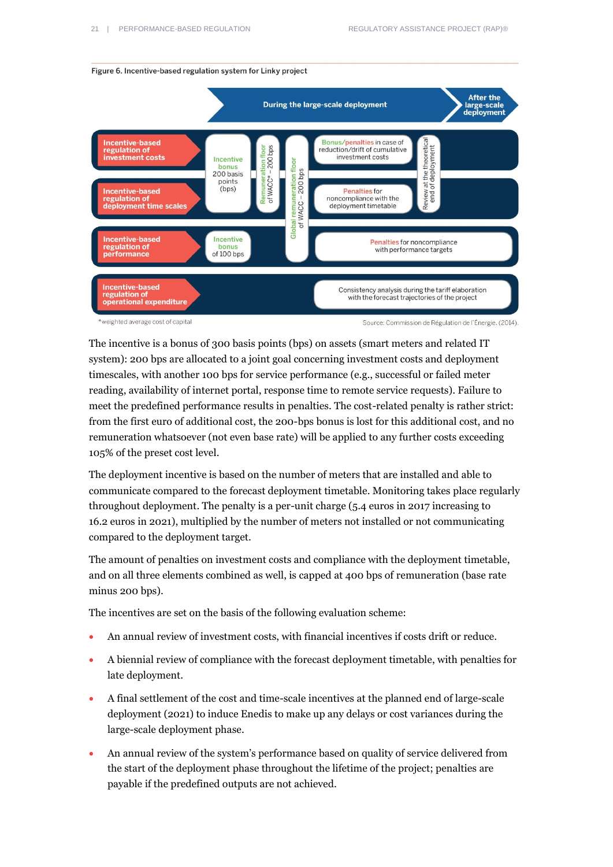

The incentive is a bonus of 300 basis points (bps) on assets (smart meters and related IT system): 200 bps are allocated to a joint goal concerning investment costs and deployment timescales, with another 100 bps for service performance (e.g., successful or failed meter reading, availability of internet portal, response time to remote service requests). Failure to meet the predefined performance results in penalties. The cost-related penalty is rather strict: from the first euro of additional cost, the 200-bps bonus is lost for this additional cost, and no remuneration whatsoever (not even base rate) will be applied to any further costs exceeding 105% of the preset cost level.

The deployment incentive is based on the number of meters that are installed and able to communicate compared to the forecast deployment timetable. Monitoring takes place regularly throughout deployment. The penalty is a per-unit charge (5.4 euros in 2017 increasing to 16.2 euros in 2021), multiplied by the number of meters not installed or not communicating compared to the deployment target.

The amount of penalties on investment costs and compliance with the deployment timetable, and on all three elements combined as well, is capped at 400 bps of remuneration (base rate minus 200 bps).

The incentives are set on the basis of the following evaluation scheme:

- An annual review of investment costs, with financial incentives if costs drift or reduce.
- A biennial review of compliance with the forecast deployment timetable, with penalties for late deployment.
- A final settlement of the cost and time-scale incentives at the planned end of large-scale deployment (2021) to induce Enedis to make up any delays or cost variances during the large-scale deployment phase.
- An annual review of the system's performance based on quality of service delivered from the start of the deployment phase throughout the lifetime of the project; penalties are payable if the predefined outputs are not achieved.

Figure 6. Incentive-based regulation system for Linky project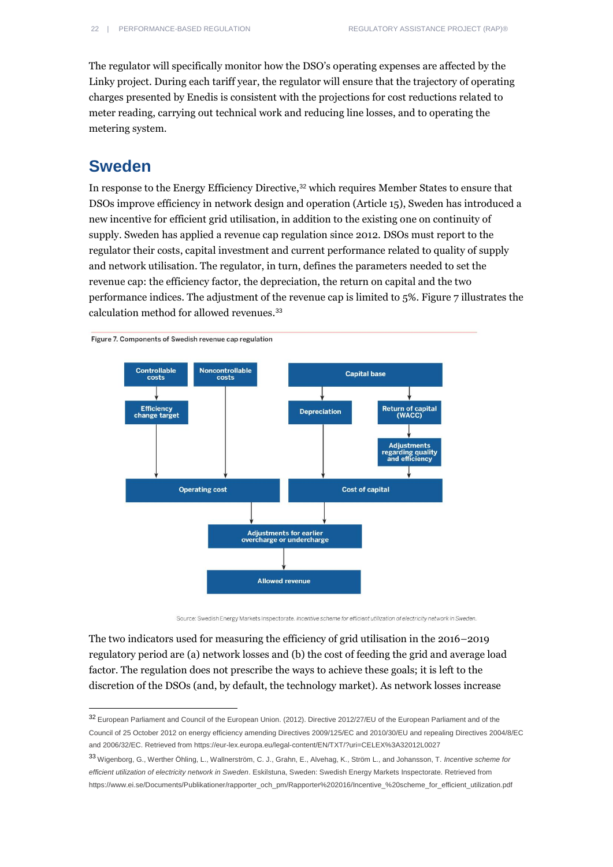The regulator will specifically monitor how the DSO's operating expenses are affected by the Linky project. During each tariff year, the regulator will ensure that the trajectory of operating charges presented by Enedis is consistent with the projections for cost reductions related to meter reading, carrying out technical work and reducing line losses, and to operating the metering system.

### **Sweden**

 $\overline{a}$ 

In response to the Energy Efficiency Directive,<sup>32</sup> which requires Member States to ensure that DSOs improve efficiency in network design and operation (Article 15), Sweden has introduced a new incentive for efficient grid utilisation, in addition to the existing one on continuity of supply. Sweden has applied a revenue cap regulation since 2012. DSOs must report to the regulator their costs, capital investment and current performance related to quality of supply and network utilisation. The regulator, in turn, defines the parameters needed to set the revenue cap: the efficiency factor, the depreciation, the return on capital and the two performance indices. The adjustment of the revenue cap is limited to 5%. Figure 7 illustrates the calculation method for allowed revenues.<sup>33</sup>



Source: Swedish Energy Markets Inspectorate. Incentive scheme for efficient utilization of electricity network in Sweden.

The two indicators used for measuring the efficiency of grid utilisation in the 2016–2019 regulatory period are (a) network losses and (b) the cost of feeding the grid and average load factor. The regulation does not prescribe the ways to achieve these goals; it is left to the discretion of the DSOs (and, by default, the technology market). As network losses increase

<sup>32</sup> European Parliament and Council of the European Union. (2012). Directive 2012/27/EU of the European Parliament and of the Council of 25 October 2012 on energy efficiency amending Directives 2009/125/EC and 2010/30/EU and repealing Directives 2004/8/EC and 2006/32/EC. Retrieved fro[m https://eur-lex.europa.eu/legal-content/EN/TXT/?uri=CELEX%3A32012L0027](https://eur-lex.europa.eu/legal-content/EN/TXT/?uri=CELEX%3A32012L0027)

<sup>33</sup> Wigenborg, G., Werther Öhling, L., Wallnerström, C. J., Grahn, E., Alvehag, K., Ström L., and Johansson, T. *Incentive scheme for efficient utilization of electricity network in Sweden*. Eskilstuna, Sweden: Swedish Energy Markets Inspectorate. Retrieved from [https://www.ei.se/Documents/Publikationer/rapporter\\_och\\_pm/Rapporter%202016/Incentive\\_%20scheme\\_for\\_efficient\\_utilization.pdf](https://www.ei.se/Documents/Publikationer/rapporter_och_pm/Rapporter%202016/Incentive_%20scheme_for_efficient_utilization.pdf)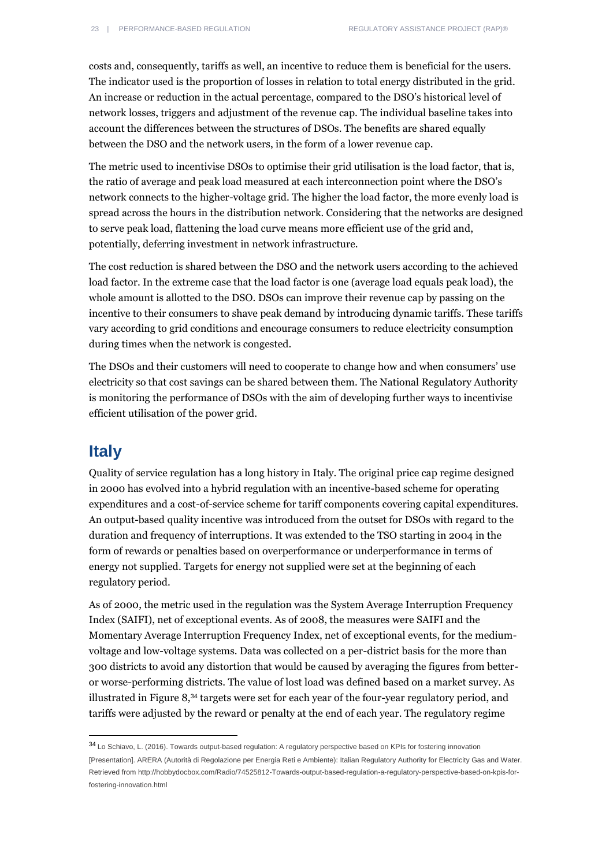costs and, consequently, tariffs as well, an incentive to reduce them is beneficial for the users. The indicator used is the proportion of losses in relation to total energy distributed in the grid. An increase or reduction in the actual percentage, compared to the DSO's historical level of network losses, triggers and adjustment of the revenue cap. The individual baseline takes into account the differences between the structures of DSOs. The benefits are shared equally between the DSO and the network users, in the form of a lower revenue cap.

The metric used to incentivise DSOs to optimise their grid utilisation is the load factor, that is, the ratio of average and peak load measured at each interconnection point where the DSO's network connects to the higher-voltage grid. The higher the load factor, the more evenly load is spread across the hours in the distribution network. Considering that the networks are designed to serve peak load, flattening the load curve means more efficient use of the grid and, potentially, deferring investment in network infrastructure.

The cost reduction is shared between the DSO and the network users according to the achieved load factor. In the extreme case that the load factor is one (average load equals peak load), the whole amount is allotted to the DSO. DSOs can improve their revenue cap by passing on the incentive to their consumers to shave peak demand by introducing dynamic tariffs. These tariffs vary according to grid conditions and encourage consumers to reduce electricity consumption during times when the network is congested.

The DSOs and their customers will need to cooperate to change how and when consumers' use electricity so that cost savings can be shared between them. The National Regulatory Authority is monitoring the performance of DSOs with the aim of developing further ways to incentivise efficient utilisation of the power grid.

### **Italy**

 $\overline{a}$ 

Quality of service regulation has a long history in Italy. The original price cap regime designed in 2000 has evolved into a hybrid regulation with an incentive-based scheme for operating expenditures and a cost-of-service scheme for tariff components covering capital expenditures. An output-based quality incentive was introduced from the outset for DSOs with regard to the duration and frequency of interruptions. It was extended to the TSO starting in 2004 in the form of rewards or penalties based on overperformance or underperformance in terms of energy not supplied. Targets for energy not supplied were set at the beginning of each regulatory period.

As of 2000, the metric used in the regulation was the System Average Interruption Frequency Index (SAIFI), net of exceptional events. As of 2008, the measures were SAIFI and the Momentary Average Interruption Frequency Index, net of exceptional events, for the mediumvoltage and low-voltage systems. Data was collected on a per-district basis for the more than 300 districts to avoid any distortion that would be caused by averaging the figures from betteror worse-performing districts. The value of lost load was defined based on a market survey. As illustrated in Figure 8,<sup>34</sup> targets were set for each year of the four-year regulatory period, and tariffs were adjusted by the reward or penalty at the end of each year. The regulatory regime

<sup>34</sup> Lo Schiavo, L. (2016). Towards output-based regulation: A regulatory perspective based on KPIs for fostering innovation [Presentation]. ARERA (Autorità di Regolazione per Energia Reti e Ambiente): Italian Regulatory Authority for Electricity Gas and Water. Retrieved fro[m http://hobbydocbox.com/Radio/74525812-Towards-output-based-regulation-a-regulatory-perspective-based-on-kpis-for](http://hobbydocbox.com/Radio/74525812-Towards-output-based-regulation-a-regulatory-perspective-based-on-kpis-for-fostering-innovation.html)[fostering-innovation.html](http://hobbydocbox.com/Radio/74525812-Towards-output-based-regulation-a-regulatory-perspective-based-on-kpis-for-fostering-innovation.html)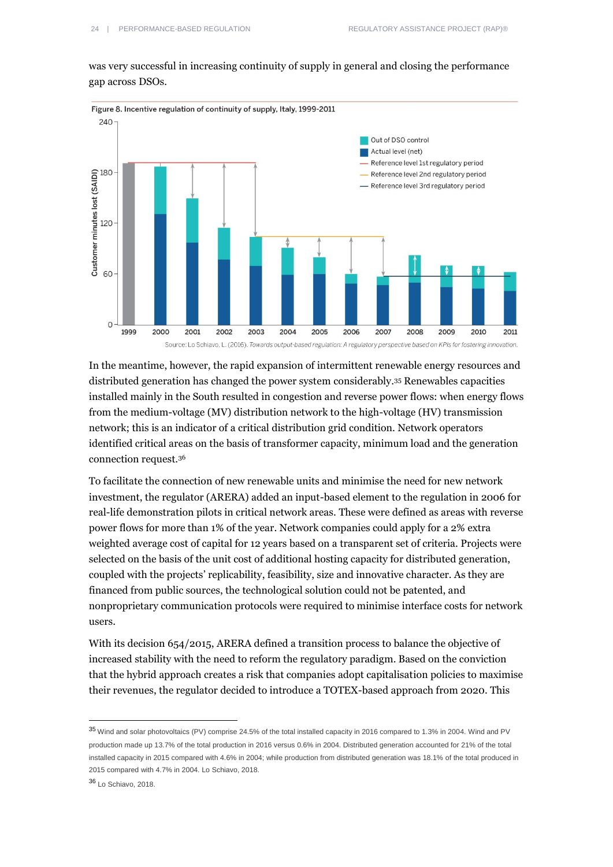was very successful in increasing continuity of supply in general and closing the performance gap across DSOs.



In the meantime, however, the rapid expansion of intermittent renewable energy resources and distributed generation has changed the power system considerably.<sup>35</sup> Renewables capacities installed mainly in the South resulted in congestion and reverse power flows: when energy flows from the medium-voltage (MV) distribution network to the high-voltage (HV) transmission network; this is an indicator of a critical distribution grid condition. Network operators identified critical areas on the basis of transformer capacity, minimum load and the generation connection request.<sup>36</sup>

To facilitate the connection of new renewable units and minimise the need for new network investment, the regulator (ARERA) added an input-based element to the regulation in 2006 for real-life demonstration pilots in critical network areas. These were defined as areas with reverse power flows for more than 1% of the year. Network companies could apply for a 2% extra weighted average cost of capital for 12 years based on a transparent set of criteria. Projects were selected on the basis of the unit cost of additional hosting capacity for distributed generation, coupled with the projects' replicability, feasibility, size and innovative character. As they are financed from public sources, the technological solution could not be patented, and nonproprietary communication protocols were required to minimise interface costs for network users.

With its decision 654/2015, ARERA defined a transition process to balance the objective of increased stability with the need to reform the regulatory paradigm. Based on the conviction that the hybrid approach creates a risk that companies adopt capitalisation policies to maximise their revenues, the regulator decided to introduce a TOTEX-based approach from 2020. This

```
36 Lo Schiavo, 2018.
```
<sup>35</sup> Wind and solar photovoltaics (PV) comprise 24.5% of the total installed capacity in 2016 compared to 1.3% in 2004. Wind and PV production made up 13.7% of the total production in 2016 versus 0.6% in 2004. Distributed generation accounted for 21% of the total installed capacity in 2015 compared with 4.6% in 2004; while production from distributed generation was 18.1% of the total produced in 2015 compared with 4.7% in 2004. Lo Schiavo, 2018.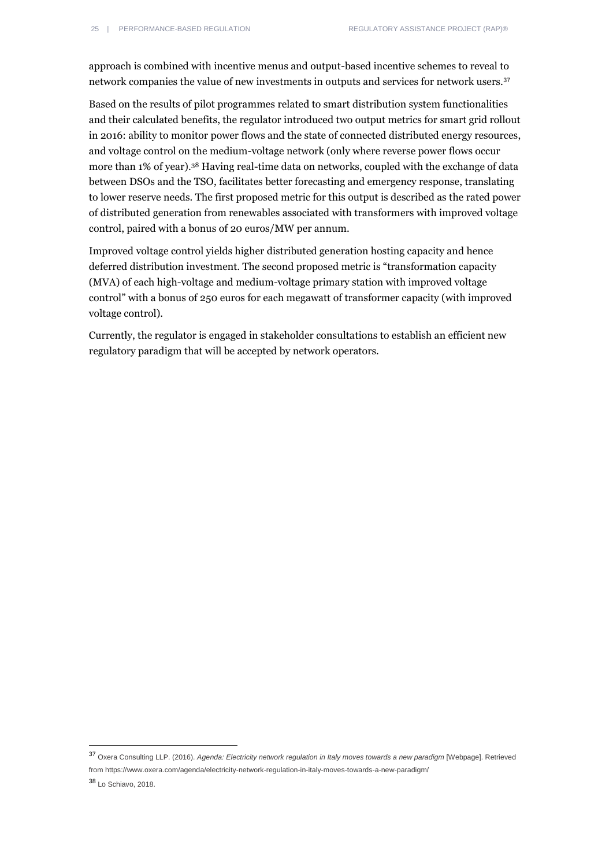approach is combined with incentive menus and output-based incentive schemes to reveal to network companies the value of new investments in outputs and services for network users.<sup>37</sup>

Based on the results of pilot programmes related to smart distribution system functionalities and their calculated benefits, the regulator introduced two output metrics for smart grid rollout in 2016: ability to monitor power flows and the state of connected distributed energy resources, and voltage control on the medium-voltage network (only where reverse power flows occur more than 1% of year).<sup>38</sup> Having real-time data on networks, coupled with the exchange of data between DSOs and the TSO, facilitates better forecasting and emergency response, translating to lower reserve needs. The first proposed metric for this output is described as the rated power of distributed generation from renewables associated with transformers with improved voltage control, paired with a bonus of 20 euros/MW per annum.

Improved voltage control yields higher distributed generation hosting capacity and hence deferred distribution investment. The second proposed metric is "transformation capacity (MVA) of each high-voltage and medium-voltage primary station with improved voltage control" with a bonus of 250 euros for each megawatt of transformer capacity (with improved voltage control).

Currently, the regulator is engaged in stakeholder consultations to establish an efficient new regulatory paradigm that will be accepted by network operators.

<sup>37</sup> Oxera Consulting LLP. (2016). *Agenda: Electricity network regulation in Italy moves towards a new paradigm* [Webpage]. Retrieved fro[m https://www.oxera.com/agenda/electricity-network-regulation-in-italy-moves-towards-a-new-paradigm/](https://www.oxera.com/agenda/electricity-network-regulation-in-italy-moves-towards-a-new-paradigm/)

<sup>38</sup> Lo Schiavo, 2018.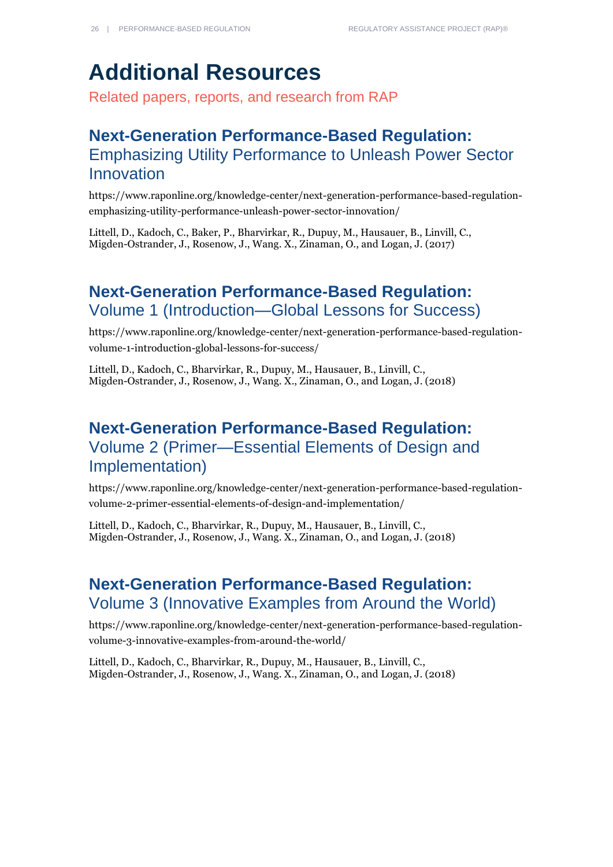## **Additional Resources**

Related papers, reports, and research from RAP

### **Next-Generation Performance-Based Regulation:**  Emphasizing Utility Performance to Unleash Power Sector Innovation

[https://www.raponline.org/knowledge-center/next-generation-performance-based-regulation](https://www.raponline.org/knowledge-center/next-generation-performance-based-regulation-emphasizing-utility-performance-unleash-power-sector-innovation/)[emphasizing-utility-performance-unleash-power-sector-innovation/](https://www.raponline.org/knowledge-center/next-generation-performance-based-regulation-emphasizing-utility-performance-unleash-power-sector-innovation/)

Littell, D., Kadoch, C., Baker, P., Bharvirkar, R., Dupuy, M., Hausauer, B., Linvill, C., Migden-Ostrander, J., Rosenow, J., Wang. X., Zinaman, O., and Logan, J. (2017)

### **Next-Generation Performance-Based Regulation:**  Volume 1 (Introduction—Global Lessons for Success)

[https://www.raponline.org/knowledge-center/next-generation-performance-based-regulation](https://www.raponline.org/knowledge-center/next-generation-performance-based-regulation-volume-1-introduction-global-lessons-for-success/)[volume-1-introduction-global-lessons-for-success/](https://www.raponline.org/knowledge-center/next-generation-performance-based-regulation-volume-1-introduction-global-lessons-for-success/)

Littell, D., Kadoch, C., Bharvirkar, R., Dupuy, M., Hausauer, B., Linvill, C., Migden-Ostrander, J., Rosenow, J., Wang. X., Zinaman, O., and Logan, J. (2018)

### **Next-Generation Performance-Based Regulation:**  Volume 2 (Primer—Essential Elements of Design and Implementation)

[https://www.raponline.org/knowledge-center/next-generation-performance-based-regulation](https://www.raponline.org/knowledge-center/next-generation-performance-based-regulation-volume-2-primer-essential-elements-of-design-and-implementation/)[volume-2-primer-essential-elements-of-design-and-implementation/](https://www.raponline.org/knowledge-center/next-generation-performance-based-regulation-volume-2-primer-essential-elements-of-design-and-implementation/)

Littell, D., Kadoch, C., Bharvirkar, R., Dupuy, M., Hausauer, B., Linvill, C., Migden-Ostrander, J., Rosenow, J., Wang. X., Zinaman, O., and Logan, J. (2018)

### **Next-Generation Performance-Based Regulation:**  Volume 3 (Innovative Examples from Around the World)

[https://www.raponline.org/knowledge-center/next-generation-performance-based-regulation](https://www.raponline.org/knowledge-center/next-generation-performance-based-regulation-volume-3-innovative-examples-from-around-the-world/)[volume-3-innovative-examples-from-around-the-world/](https://www.raponline.org/knowledge-center/next-generation-performance-based-regulation-volume-3-innovative-examples-from-around-the-world/)

Littell, D., Kadoch, C., Bharvirkar, R., Dupuy, M., Hausauer, B., Linvill, C., Migden-Ostrander, J., Rosenow, J., Wang. X., Zinaman, O., and Logan, J. (2018)